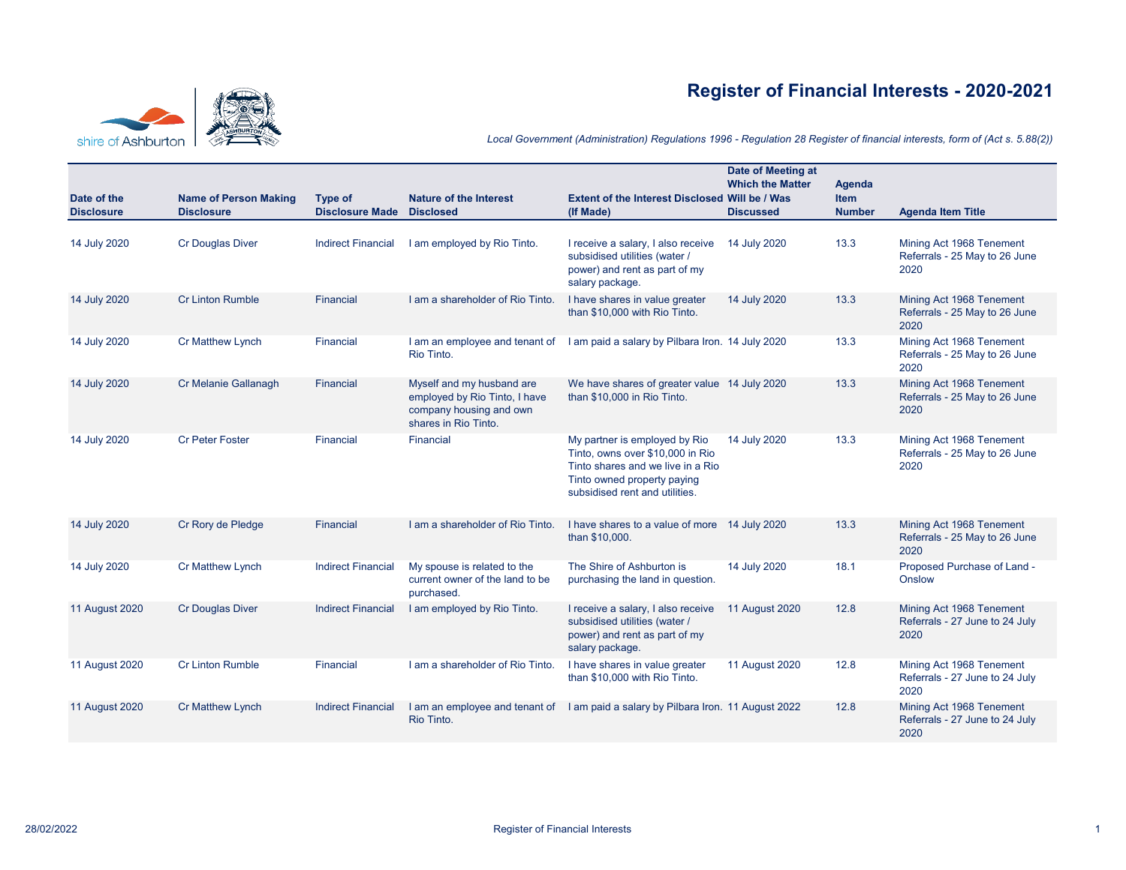## **Register of Financial Interests - 2020-2021**



*Local Government (Administration) Regulations 1996 - Regulation 28 Register of financial interests, form of (Act s. 5.88(2))*

|                       |                              |                           |                                                                                                               |                                                                                                                                                                         | Date of Meeting at<br><b>Which the Matter</b> | Agenda        |                                                                    |
|-----------------------|------------------------------|---------------------------|---------------------------------------------------------------------------------------------------------------|-------------------------------------------------------------------------------------------------------------------------------------------------------------------------|-----------------------------------------------|---------------|--------------------------------------------------------------------|
| Date of the           | <b>Name of Person Making</b> | Type of                   | <b>Nature of the Interest</b>                                                                                 | Extent of the Interest Disclosed Will be / Was                                                                                                                          |                                               | <b>Item</b>   |                                                                    |
| <b>Disclosure</b>     | <b>Disclosure</b>            | <b>Disclosure Made</b>    | <b>Disclosed</b>                                                                                              | (If Made)                                                                                                                                                               | <b>Discussed</b>                              | <b>Number</b> | <b>Agenda Item Title</b>                                           |
| 14 July 2020          | <b>Cr Douglas Diver</b>      | <b>Indirect Financial</b> | I am employed by Rio Tinto.                                                                                   | I receive a salary, I also receive<br>subsidised utilities (water /<br>power) and rent as part of my<br>salary package.                                                 | 14 July 2020                                  | 13.3          | Mining Act 1968 Tenement<br>Referrals - 25 May to 26 June<br>2020  |
| 14 July 2020          | <b>Cr Linton Rumble</b>      | <b>Financial</b>          | I am a shareholder of Rio Tinto.                                                                              | I have shares in value greater<br>than \$10,000 with Rio Tinto.                                                                                                         | 14 July 2020                                  | 13.3          | Mining Act 1968 Tenement<br>Referrals - 25 May to 26 June<br>2020  |
| 14 July 2020          | Cr Matthew Lynch             | Financial                 | I am an employee and tenant of<br>Rio Tinto.                                                                  | I am paid a salary by Pilbara Iron. 14 July 2020                                                                                                                        |                                               | 13.3          | Mining Act 1968 Tenement<br>Referrals - 25 May to 26 June<br>2020  |
| 14 July 2020          | Cr Melanie Gallanagh         | <b>Financial</b>          | Myself and my husband are<br>employed by Rio Tinto, I have<br>company housing and own<br>shares in Rio Tinto. | We have shares of greater value 14 July 2020<br>than \$10,000 in Rio Tinto.                                                                                             |                                               | 13.3          | Mining Act 1968 Tenement<br>Referrals - 25 May to 26 June<br>2020  |
| 14 July 2020          | <b>Cr Peter Foster</b>       | Financial                 | Financial                                                                                                     | My partner is employed by Rio<br>Tinto, owns over \$10,000 in Rio<br>Tinto shares and we live in a Rio<br>Tinto owned property paying<br>subsidised rent and utilities. | 14 July 2020                                  | 13.3          | Mining Act 1968 Tenement<br>Referrals - 25 May to 26 June<br>2020  |
| 14 July 2020          | Cr Rory de Pledge            | <b>Financial</b>          | I am a shareholder of Rio Tinto.                                                                              | I have shares to a value of more 14 July 2020<br>than \$10,000.                                                                                                         |                                               | 13.3          | Mining Act 1968 Tenement<br>Referrals - 25 May to 26 June<br>2020  |
| 14 July 2020          | Cr Matthew Lynch             | <b>Indirect Financial</b> | My spouse is related to the<br>current owner of the land to be<br>purchased.                                  | The Shire of Ashburton is<br>purchasing the land in question.                                                                                                           | 14 July 2020                                  | 18.1          | Proposed Purchase of Land -<br>Onslow                              |
| <b>11 August 2020</b> | <b>Cr Douglas Diver</b>      | <b>Indirect Financial</b> | I am employed by Rio Tinto.                                                                                   | I receive a salary, I also receive<br>subsidised utilities (water /<br>power) and rent as part of my<br>salary package.                                                 | <b>11 August 2020</b>                         | 12.8          | Mining Act 1968 Tenement<br>Referrals - 27 June to 24 July<br>2020 |
| <b>11 August 2020</b> | <b>Cr Linton Rumble</b>      | Financial                 | I am a shareholder of Rio Tinto.                                                                              | I have shares in value greater<br>than \$10,000 with Rio Tinto.                                                                                                         | <b>11 August 2020</b>                         | 12.8          | Mining Act 1968 Tenement<br>Referrals - 27 June to 24 July<br>2020 |
| <b>11 August 2020</b> | <b>Cr Matthew Lynch</b>      | <b>Indirect Financial</b> | I am an employee and tenant of<br>Rio Tinto.                                                                  | I am paid a salary by Pilbara Iron. 11 August 2022                                                                                                                      |                                               | 12.8          | Mining Act 1968 Tenement<br>Referrals - 27 June to 24 July<br>2020 |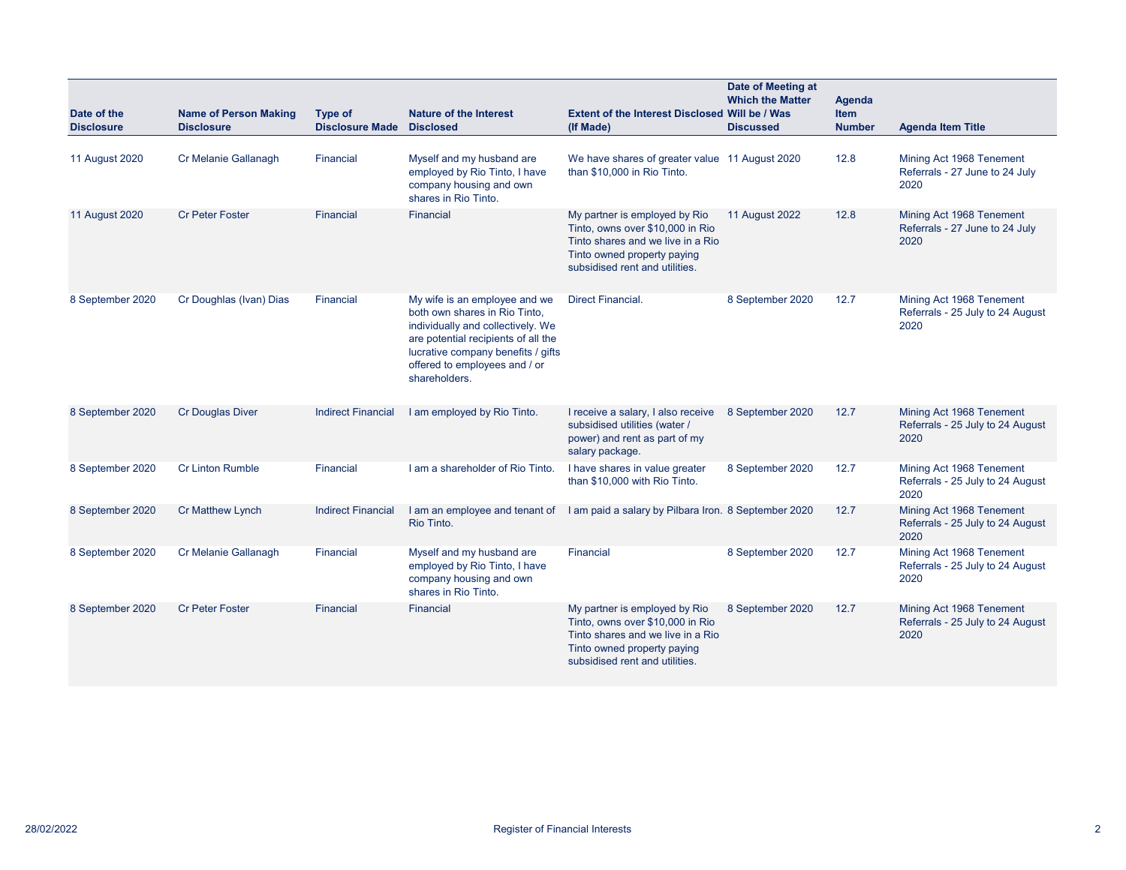| Date of the<br><b>Disclosure</b> | <b>Name of Person Making</b><br><b>Disclosure</b> | Type of<br><b>Disclosure Made</b> | Nature of the Interest<br><b>Disclosed</b>                                                                                                                                                                                         | <b>Extent of the Interest Disclosed Will be / Was</b><br>(If Made)                                                                                                      | Date of Meeting at<br><b>Which the Matter</b><br><b>Discussed</b> | <b>Agenda</b><br>Item<br><b>Number</b> | <b>Agenda Item Title</b>                                             |
|----------------------------------|---------------------------------------------------|-----------------------------------|------------------------------------------------------------------------------------------------------------------------------------------------------------------------------------------------------------------------------------|-------------------------------------------------------------------------------------------------------------------------------------------------------------------------|-------------------------------------------------------------------|----------------------------------------|----------------------------------------------------------------------|
| 11 August 2020                   | Cr Melanie Gallanagh                              | Financial                         | Myself and my husband are<br>employed by Rio Tinto, I have<br>company housing and own<br>shares in Rio Tinto.                                                                                                                      | We have shares of greater value 11 August 2020<br>than \$10,000 in Rio Tinto.                                                                                           |                                                                   | 12.8                                   | Mining Act 1968 Tenement<br>Referrals - 27 June to 24 July<br>2020   |
| <b>11 August 2020</b>            | <b>Cr Peter Foster</b>                            | Financial                         | <b>Financial</b>                                                                                                                                                                                                                   | My partner is employed by Rio<br>Tinto, owns over \$10,000 in Rio<br>Tinto shares and we live in a Rio<br>Tinto owned property paying<br>subsidised rent and utilities. | <b>11 August 2022</b>                                             | 12.8                                   | Mining Act 1968 Tenement<br>Referrals - 27 June to 24 July<br>2020   |
| 8 September 2020                 | Cr Doughlas (Ivan) Dias                           | Financial                         | My wife is an employee and we<br>both own shares in Rio Tinto.<br>individually and collectively. We<br>are potential recipients of all the<br>lucrative company benefits / gifts<br>offered to employees and / or<br>shareholders. | <b>Direct Financial.</b>                                                                                                                                                | 8 September 2020                                                  | 12.7                                   | Mining Act 1968 Tenement<br>Referrals - 25 July to 24 August<br>2020 |
| 8 September 2020                 | <b>Cr Douglas Diver</b>                           | <b>Indirect Financial</b>         | I am employed by Rio Tinto.                                                                                                                                                                                                        | I receive a salary, I also receive<br>subsidised utilities (water /<br>power) and rent as part of my<br>salary package.                                                 | 8 September 2020                                                  | 12.7                                   | Mining Act 1968 Tenement<br>Referrals - 25 July to 24 August<br>2020 |
| 8 September 2020                 | <b>Cr Linton Rumble</b>                           | Financial                         | I am a shareholder of Rio Tinto.                                                                                                                                                                                                   | I have shares in value greater<br>than \$10,000 with Rio Tinto.                                                                                                         | 8 September 2020                                                  | 12.7                                   | Mining Act 1968 Tenement<br>Referrals - 25 July to 24 August<br>2020 |
| 8 September 2020                 | <b>Cr Matthew Lynch</b>                           | <b>Indirect Financial</b>         | I am an employee and tenant of<br>Rio Tinto.                                                                                                                                                                                       | I am paid a salary by Pilbara Iron. 8 September 2020                                                                                                                    |                                                                   | 12.7                                   | Mining Act 1968 Tenement<br>Referrals - 25 July to 24 August<br>2020 |
| 8 September 2020                 | Cr Melanie Gallanagh                              | Financial                         | Myself and my husband are<br>employed by Rio Tinto, I have<br>company housing and own<br>shares in Rio Tinto.                                                                                                                      | Financial                                                                                                                                                               | 8 September 2020                                                  | 12.7                                   | Mining Act 1968 Tenement<br>Referrals - 25 July to 24 August<br>2020 |
| 8 September 2020                 | <b>Cr Peter Foster</b>                            | Financial                         | Financial                                                                                                                                                                                                                          | My partner is employed by Rio<br>Tinto, owns over \$10,000 in Rio<br>Tinto shares and we live in a Rio<br>Tinto owned property paying<br>subsidised rent and utilities. | 8 September 2020                                                  | 12.7                                   | Mining Act 1968 Tenement<br>Referrals - 25 July to 24 August<br>2020 |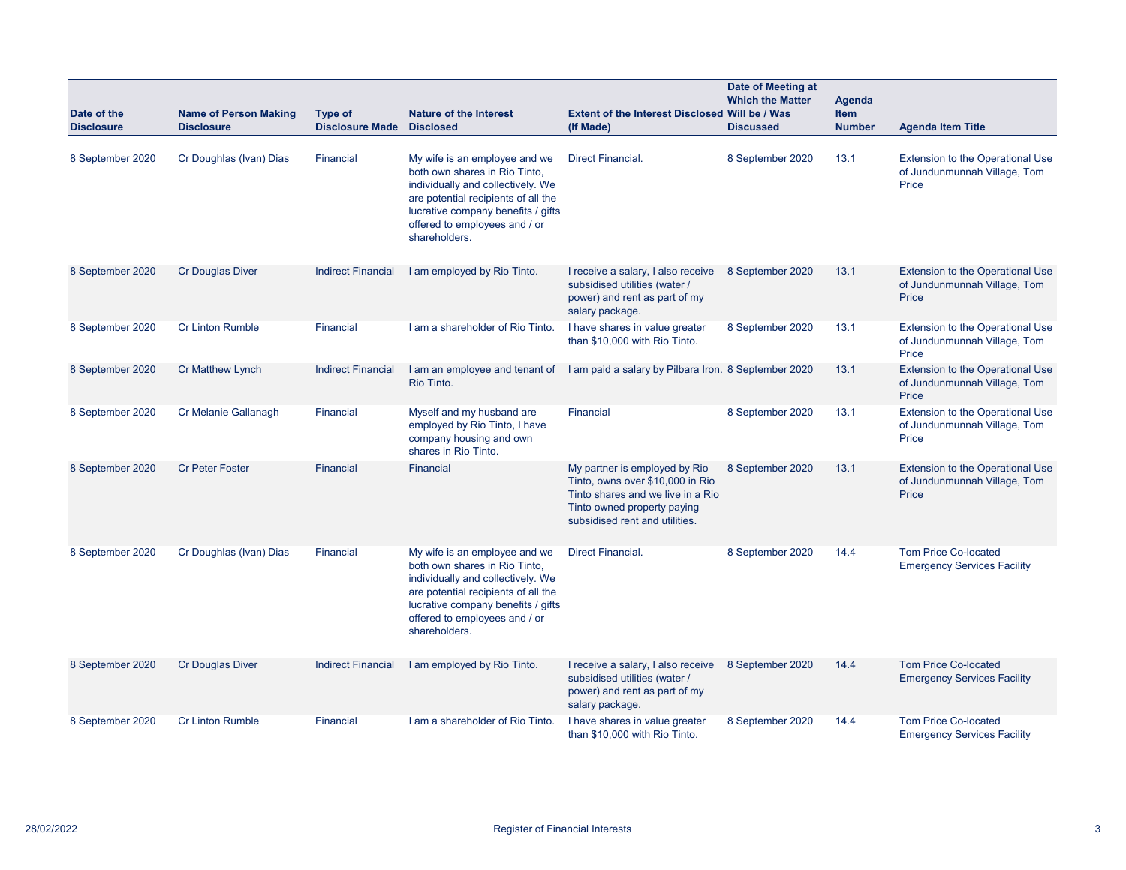| Date of the<br><b>Disclosure</b> | <b>Name of Person Making</b><br><b>Disclosure</b> | Type of<br><b>Disclosure Made</b> | <b>Nature of the Interest</b><br><b>Disclosed</b>                                                                                                                                                                                  | <b>Extent of the Interest Disclosed Will be / Was</b><br>(If Made)                                                                                                      | Date of Meeting at<br><b>Which the Matter</b><br><b>Discussed</b> | <b>Agenda</b><br><b>Item</b><br><b>Number</b> | <b>Agenda Item Title</b>                                                         |
|----------------------------------|---------------------------------------------------|-----------------------------------|------------------------------------------------------------------------------------------------------------------------------------------------------------------------------------------------------------------------------------|-------------------------------------------------------------------------------------------------------------------------------------------------------------------------|-------------------------------------------------------------------|-----------------------------------------------|----------------------------------------------------------------------------------|
| 8 September 2020                 | Cr Doughlas (Ivan) Dias                           | Financial                         | My wife is an employee and we<br>both own shares in Rio Tinto,<br>individually and collectively. We<br>are potential recipients of all the<br>lucrative company benefits / gifts<br>offered to employees and / or<br>shareholders. | Direct Financial.                                                                                                                                                       | 8 September 2020                                                  | 13.1                                          | <b>Extension to the Operational Use</b><br>of Jundunmunnah Village, Tom<br>Price |
| 8 September 2020                 | <b>Cr Douglas Diver</b>                           | <b>Indirect Financial</b>         | I am employed by Rio Tinto.                                                                                                                                                                                                        | I receive a salary, I also receive<br>subsidised utilities (water /<br>power) and rent as part of my<br>salary package.                                                 | 8 September 2020                                                  | 13.1                                          | Extension to the Operational Use<br>of Jundunmunnah Village, Tom<br>Price        |
| 8 September 2020                 | <b>Cr Linton Rumble</b>                           | Financial                         | I am a shareholder of Rio Tinto.                                                                                                                                                                                                   | I have shares in value greater<br>than \$10,000 with Rio Tinto.                                                                                                         | 8 September 2020                                                  | 13.1                                          | <b>Extension to the Operational Use</b><br>of Jundunmunnah Village, Tom<br>Price |
| 8 September 2020                 | <b>Cr Matthew Lynch</b>                           | <b>Indirect Financial</b>         | I am an employee and tenant of<br>Rio Tinto.                                                                                                                                                                                       | I am paid a salary by Pilbara Iron. 8 September 2020                                                                                                                    |                                                                   | 13.1                                          | <b>Extension to the Operational Use</b><br>of Jundunmunnah Village, Tom<br>Price |
| 8 September 2020                 | Cr Melanie Gallanagh                              | Financial                         | Myself and my husband are<br>employed by Rio Tinto, I have<br>company housing and own<br>shares in Rio Tinto.                                                                                                                      | Financial                                                                                                                                                               | 8 September 2020                                                  | 13.1                                          | <b>Extension to the Operational Use</b><br>of Jundunmunnah Village, Tom<br>Price |
| 8 September 2020                 | <b>Cr Peter Foster</b>                            | <b>Financial</b>                  | <b>Financial</b>                                                                                                                                                                                                                   | My partner is employed by Rio<br>Tinto, owns over \$10,000 in Rio<br>Tinto shares and we live in a Rio<br>Tinto owned property paying<br>subsidised rent and utilities. | 8 September 2020                                                  | 13.1                                          | <b>Extension to the Operational Use</b><br>of Jundunmunnah Village, Tom<br>Price |
| 8 September 2020                 | Cr Doughlas (Ivan) Dias                           | Financial                         | My wife is an employee and we<br>both own shares in Rio Tinto,<br>individually and collectively. We<br>are potential recipients of all the<br>lucrative company benefits / gifts<br>offered to employees and / or<br>shareholders. | <b>Direct Financial.</b>                                                                                                                                                | 8 September 2020                                                  | 14.4                                          | <b>Tom Price Co-located</b><br><b>Emergency Services Facility</b>                |
| 8 September 2020                 | <b>Cr Douglas Diver</b>                           | <b>Indirect Financial</b>         | I am employed by Rio Tinto.                                                                                                                                                                                                        | I receive a salary, I also receive<br>subsidised utilities (water /<br>power) and rent as part of my<br>salary package.                                                 | 8 September 2020                                                  | 14.4                                          | <b>Tom Price Co-located</b><br><b>Emergency Services Facility</b>                |
| 8 September 2020                 | <b>Cr Linton Rumble</b>                           | Financial                         | I am a shareholder of Rio Tinto.                                                                                                                                                                                                   | I have shares in value greater<br>than \$10,000 with Rio Tinto.                                                                                                         | 8 September 2020                                                  | 14.4                                          | <b>Tom Price Co-located</b><br><b>Emergency Services Facility</b>                |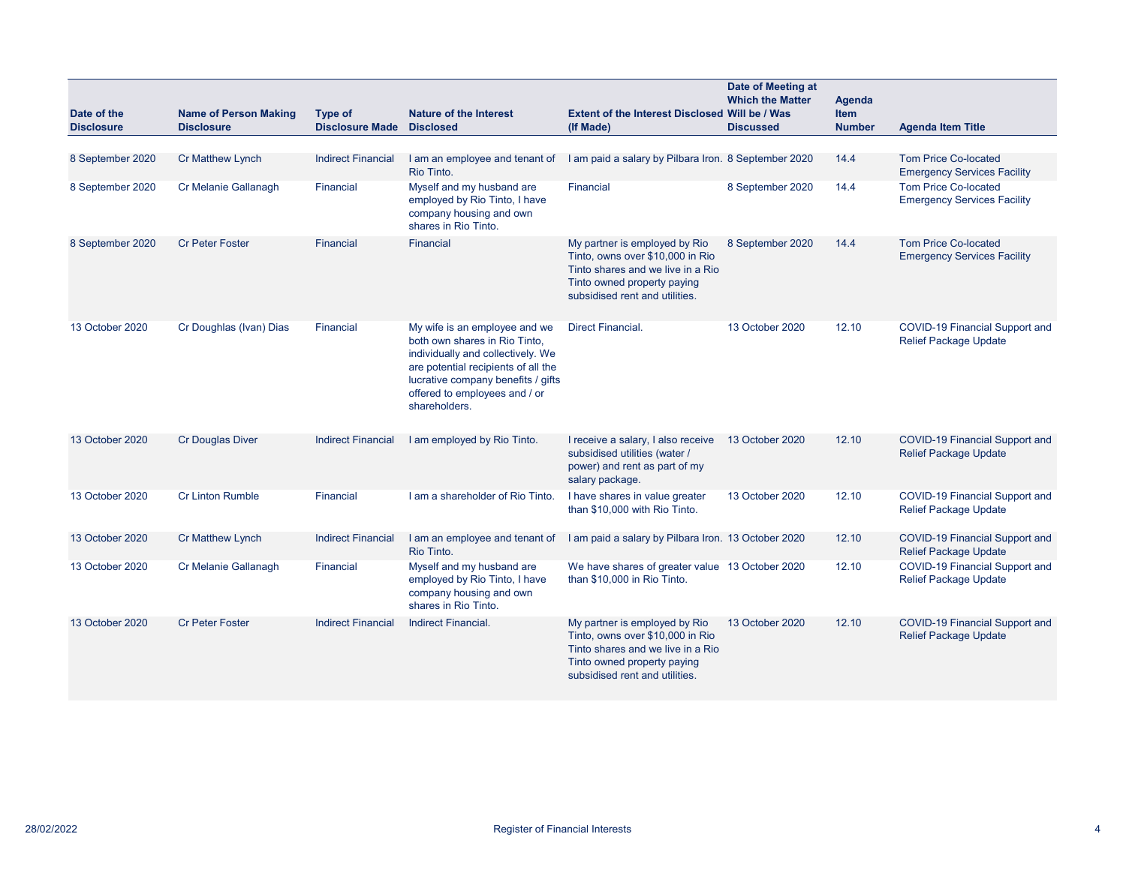| Date of the<br><b>Disclosure</b> | <b>Name of Person Making</b><br><b>Disclosure</b> | <b>Type of</b><br><b>Disclosure Made</b> | <b>Nature of the Interest</b><br><b>Disclosed</b>                                                                                                                                                                                  | Extent of the Interest Disclosed Will be / Was<br>(If Made)                                                                                                             | Date of Meeting at<br><b>Which the Matter</b><br><b>Discussed</b> | Agenda<br><b>Item</b><br><b>Number</b> | <b>Agenda Item Title</b>                                              |
|----------------------------------|---------------------------------------------------|------------------------------------------|------------------------------------------------------------------------------------------------------------------------------------------------------------------------------------------------------------------------------------|-------------------------------------------------------------------------------------------------------------------------------------------------------------------------|-------------------------------------------------------------------|----------------------------------------|-----------------------------------------------------------------------|
|                                  |                                                   |                                          |                                                                                                                                                                                                                                    |                                                                                                                                                                         |                                                                   |                                        |                                                                       |
| 8 September 2020                 | Cr Matthew Lynch                                  | <b>Indirect Financial</b>                | I am an employee and tenant of<br>Rio Tinto.                                                                                                                                                                                       | I am paid a salary by Pilbara Iron. 8 September 2020                                                                                                                    |                                                                   | 14.4                                   | <b>Tom Price Co-located</b><br><b>Emergency Services Facility</b>     |
| 8 September 2020                 | Cr Melanie Gallanagh                              | Financial                                | Myself and my husband are<br>employed by Rio Tinto, I have<br>company housing and own<br>shares in Rio Tinto.                                                                                                                      | Financial                                                                                                                                                               | 8 September 2020                                                  | 14.4                                   | <b>Tom Price Co-located</b><br><b>Emergency Services Facility</b>     |
| 8 September 2020                 | <b>Cr Peter Foster</b>                            | <b>Financial</b>                         | <b>Financial</b>                                                                                                                                                                                                                   | My partner is employed by Rio<br>Tinto, owns over \$10,000 in Rio<br>Tinto shares and we live in a Rio<br>Tinto owned property paying<br>subsidised rent and utilities. | 8 September 2020                                                  | 14.4                                   | <b>Tom Price Co-located</b><br><b>Emergency Services Facility</b>     |
| 13 October 2020                  | Cr Doughlas (Ivan) Dias                           | Financial                                | My wife is an employee and we<br>both own shares in Rio Tinto.<br>individually and collectively. We<br>are potential recipients of all the<br>lucrative company benefits / gifts<br>offered to employees and / or<br>shareholders. | <b>Direct Financial.</b>                                                                                                                                                | 13 October 2020                                                   | 12.10                                  | COVID-19 Financial Support and<br><b>Relief Package Update</b>        |
| 13 October 2020                  | <b>Cr Douglas Diver</b>                           | <b>Indirect Financial</b>                | I am employed by Rio Tinto.                                                                                                                                                                                                        | I receive a salary, I also receive<br>subsidised utilities (water /<br>power) and rent as part of my<br>salary package.                                                 | 13 October 2020                                                   | 12.10                                  | <b>COVID-19 Financial Support and</b><br><b>Relief Package Update</b> |
| 13 October 2020                  | <b>Cr Linton Rumble</b>                           | Financial                                | I am a shareholder of Rio Tinto.                                                                                                                                                                                                   | I have shares in value greater<br>than \$10,000 with Rio Tinto.                                                                                                         | 13 October 2020                                                   | 12.10                                  | COVID-19 Financial Support and<br><b>Relief Package Update</b>        |
| 13 October 2020                  | <b>Cr Matthew Lynch</b>                           | <b>Indirect Financial</b>                | I am an employee and tenant of<br>Rio Tinto.                                                                                                                                                                                       | I am paid a salary by Pilbara Iron. 13 October 2020                                                                                                                     |                                                                   | 12.10                                  | COVID-19 Financial Support and<br><b>Relief Package Update</b>        |
| 13 October 2020                  | Cr Melanie Gallanagh                              | Financial                                | Myself and my husband are<br>employed by Rio Tinto, I have<br>company housing and own<br>shares in Rio Tinto.                                                                                                                      | We have shares of greater value 13 October 2020<br>than \$10,000 in Rio Tinto.                                                                                          |                                                                   | 12.10                                  | COVID-19 Financial Support and<br><b>Relief Package Update</b>        |
| 13 October 2020                  | <b>Cr Peter Foster</b>                            | <b>Indirect Financial</b>                | <b>Indirect Financial.</b>                                                                                                                                                                                                         | My partner is employed by Rio<br>Tinto, owns over \$10,000 in Rio<br>Tinto shares and we live in a Rio<br>Tinto owned property paying<br>subsidised rent and utilities. | 13 October 2020                                                   | 12.10                                  | COVID-19 Financial Support and<br><b>Relief Package Update</b>        |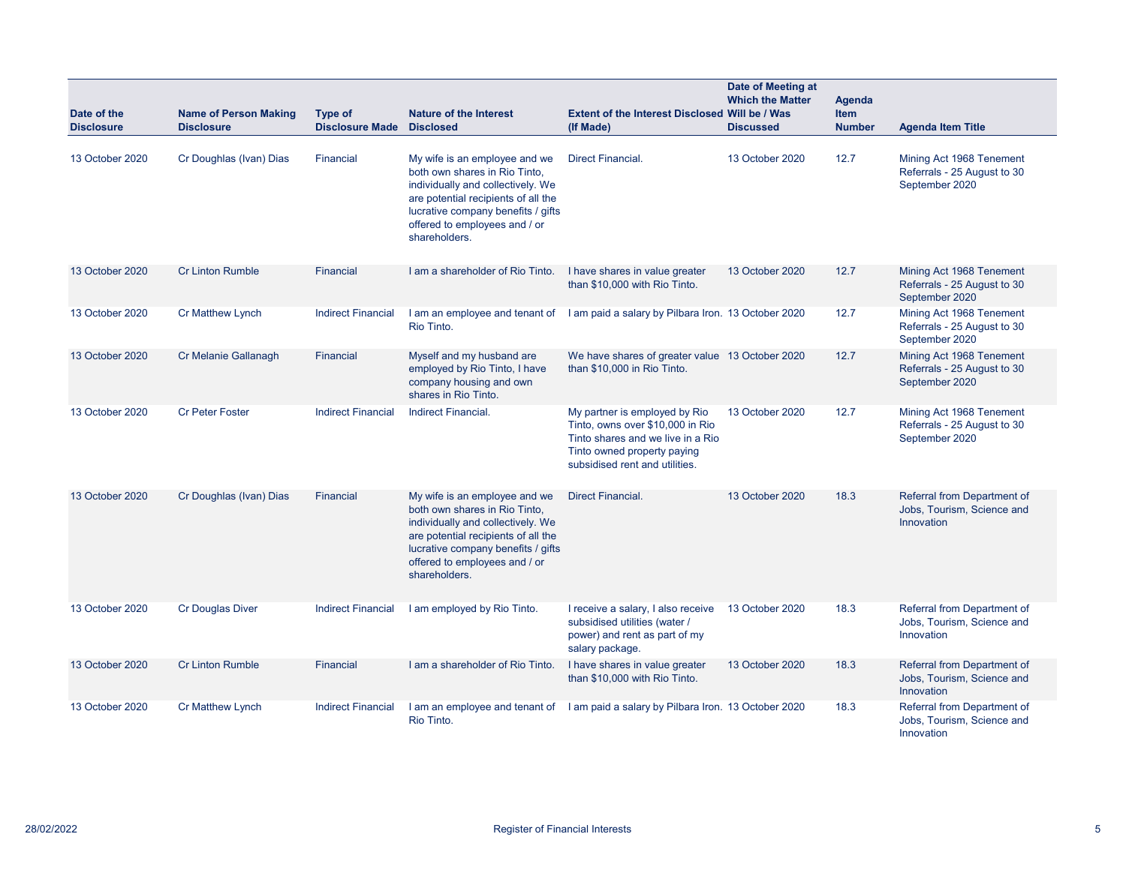| Date of the<br><b>Disclosure</b> | <b>Name of Person Making</b><br><b>Disclosure</b> | <b>Type of</b><br><b>Disclosure Made Disclosed</b> | <b>Nature of the Interest</b>                                                                                                                                                                                                      | <b>Extent of the Interest Disclosed Will be / Was</b><br>(If Made)                                                                                                      | Date of Meeting at<br><b>Which the Matter</b><br><b>Discussed</b> | <b>Agenda</b><br>Item<br><b>Number</b> | <b>Agenda Item Title</b>                                                  |
|----------------------------------|---------------------------------------------------|----------------------------------------------------|------------------------------------------------------------------------------------------------------------------------------------------------------------------------------------------------------------------------------------|-------------------------------------------------------------------------------------------------------------------------------------------------------------------------|-------------------------------------------------------------------|----------------------------------------|---------------------------------------------------------------------------|
| 13 October 2020                  | Cr Doughlas (Ivan) Dias                           | <b>Financial</b>                                   | My wife is an employee and we<br>both own shares in Rio Tinto,<br>individually and collectively. We<br>are potential recipients of all the<br>lucrative company benefits / gifts<br>offered to employees and / or<br>shareholders. | <b>Direct Financial.</b>                                                                                                                                                | 13 October 2020                                                   | 12.7                                   | Mining Act 1968 Tenement<br>Referrals - 25 August to 30<br>September 2020 |
| 13 October 2020                  | <b>Cr Linton Rumble</b>                           | <b>Financial</b>                                   | I am a shareholder of Rio Tinto.                                                                                                                                                                                                   | I have shares in value greater<br>than \$10,000 with Rio Tinto.                                                                                                         | 13 October 2020                                                   | 12.7                                   | Mining Act 1968 Tenement<br>Referrals - 25 August to 30<br>September 2020 |
| 13 October 2020                  | Cr Matthew Lynch                                  | <b>Indirect Financial</b>                          | Rio Tinto.                                                                                                                                                                                                                         | I am an employee and tenant of I am paid a salary by Pilbara Iron. 13 October 2020                                                                                      |                                                                   | 12.7                                   | Mining Act 1968 Tenement<br>Referrals - 25 August to 30<br>September 2020 |
| 13 October 2020                  | Cr Melanie Gallanagh                              | <b>Financial</b>                                   | Myself and my husband are<br>employed by Rio Tinto, I have<br>company housing and own<br>shares in Rio Tinto.                                                                                                                      | We have shares of greater value 13 October 2020<br>than \$10,000 in Rio Tinto.                                                                                          |                                                                   | 12.7                                   | Mining Act 1968 Tenement<br>Referrals - 25 August to 30<br>September 2020 |
| 13 October 2020                  | <b>Cr Peter Foster</b>                            | <b>Indirect Financial</b>                          | Indirect Financial.                                                                                                                                                                                                                | My partner is employed by Rio<br>Tinto, owns over \$10,000 in Rio<br>Tinto shares and we live in a Rio<br>Tinto owned property paying<br>subsidised rent and utilities. | 13 October 2020                                                   | 12.7                                   | Mining Act 1968 Tenement<br>Referrals - 25 August to 30<br>September 2020 |
| 13 October 2020                  | Cr Doughlas (Ivan) Dias                           | Financial                                          | My wife is an employee and we<br>both own shares in Rio Tinto,<br>individually and collectively. We<br>are potential recipients of all the<br>lucrative company benefits / gifts<br>offered to employees and / or<br>shareholders. | <b>Direct Financial.</b>                                                                                                                                                | 13 October 2020                                                   | 18.3                                   | Referral from Department of<br>Jobs, Tourism, Science and<br>Innovation   |
| 13 October 2020                  | <b>Cr Douglas Diver</b>                           | <b>Indirect Financial</b>                          | I am employed by Rio Tinto.                                                                                                                                                                                                        | I receive a salary, I also receive<br>subsidised utilities (water /<br>power) and rent as part of my<br>salary package.                                                 | 13 October 2020                                                   | 18.3                                   | Referral from Department of<br>Jobs, Tourism, Science and<br>Innovation   |
| 13 October 2020                  | <b>Cr Linton Rumble</b>                           | Financial                                          | I am a shareholder of Rio Tinto.                                                                                                                                                                                                   | I have shares in value greater<br>than \$10,000 with Rio Tinto.                                                                                                         | 13 October 2020                                                   | 18.3                                   | Referral from Department of<br>Jobs, Tourism, Science and<br>Innovation   |
| 13 October 2020                  | <b>Cr Matthew Lynch</b>                           | <b>Indirect Financial</b>                          | Rio Tinto.                                                                                                                                                                                                                         | I am an employee and tenant of I am paid a salary by Pilbara Iron. 13 October 2020                                                                                      |                                                                   | 18.3                                   | Referral from Department of<br>Jobs, Tourism, Science and<br>Innovation   |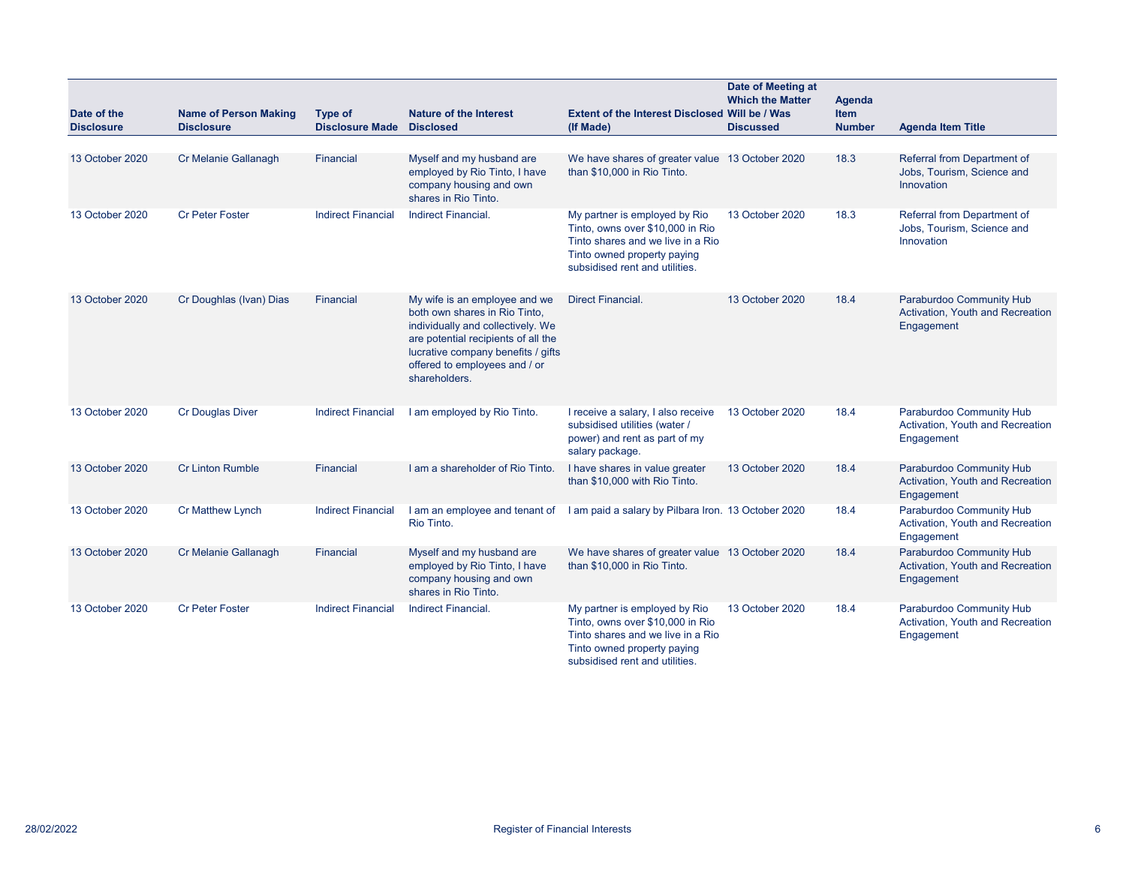| Date of the<br><b>Disclosure</b> | <b>Name of Person Making</b><br><b>Disclosure</b> | Type of<br><b>Disclosure Made</b> | <b>Nature of the Interest</b><br><b>Disclosed</b>                                                                                                                                                                                  | <b>Extent of the Interest Disclosed Will be / Was</b><br>(If Made)                                                                                                      | Date of Meeting at<br><b>Which the Matter</b><br><b>Discussed</b> | <b>Agenda</b><br><b>Item</b><br><b>Number</b> | <b>Agenda Item Title</b>                                                          |
|----------------------------------|---------------------------------------------------|-----------------------------------|------------------------------------------------------------------------------------------------------------------------------------------------------------------------------------------------------------------------------------|-------------------------------------------------------------------------------------------------------------------------------------------------------------------------|-------------------------------------------------------------------|-----------------------------------------------|-----------------------------------------------------------------------------------|
|                                  |                                                   |                                   |                                                                                                                                                                                                                                    |                                                                                                                                                                         |                                                                   |                                               |                                                                                   |
| 13 October 2020                  | Cr Melanie Gallanagh                              | Financial                         | Myself and my husband are<br>employed by Rio Tinto, I have<br>company housing and own<br>shares in Rio Tinto.                                                                                                                      | We have shares of greater value 13 October 2020<br>than \$10,000 in Rio Tinto.                                                                                          |                                                                   | 18.3                                          | Referral from Department of<br>Jobs, Tourism, Science and<br>Innovation           |
| 13 October 2020                  | <b>Cr Peter Foster</b>                            | <b>Indirect Financial</b>         | <b>Indirect Financial.</b>                                                                                                                                                                                                         | My partner is employed by Rio<br>Tinto, owns over \$10,000 in Rio<br>Tinto shares and we live in a Rio<br>Tinto owned property paying<br>subsidised rent and utilities. | 13 October 2020                                                   | 18.3                                          | Referral from Department of<br>Jobs, Tourism, Science and<br>Innovation           |
| 13 October 2020                  | Cr Doughlas (Ivan) Dias                           | Financial                         | My wife is an employee and we<br>both own shares in Rio Tinto,<br>individually and collectively. We<br>are potential recipients of all the<br>lucrative company benefits / gifts<br>offered to employees and / or<br>shareholders. | <b>Direct Financial.</b>                                                                                                                                                | 13 October 2020                                                   | 18.4                                          | Paraburdoo Community Hub<br><b>Activation, Youth and Recreation</b><br>Engagement |
| 13 October 2020                  | <b>Cr Douglas Diver</b>                           | <b>Indirect Financial</b>         | I am employed by Rio Tinto.                                                                                                                                                                                                        | I receive a salary, I also receive<br>subsidised utilities (water /<br>power) and rent as part of my<br>salary package.                                                 | 13 October 2020                                                   | 18.4                                          | Paraburdoo Community Hub<br>Activation, Youth and Recreation<br>Engagement        |
| 13 October 2020                  | <b>Cr Linton Rumble</b>                           | Financial                         | I am a shareholder of Rio Tinto.                                                                                                                                                                                                   | I have shares in value greater<br>than \$10,000 with Rio Tinto.                                                                                                         | 13 October 2020                                                   | 18.4                                          | Paraburdoo Community Hub<br>Activation, Youth and Recreation<br>Engagement        |
| 13 October 2020                  | <b>Cr Matthew Lynch</b>                           | <b>Indirect Financial</b>         | I am an employee and tenant of<br>Rio Tinto.                                                                                                                                                                                       | I am paid a salary by Pilbara Iron. 13 October 2020                                                                                                                     |                                                                   | 18.4                                          | Paraburdoo Community Hub<br>Activation, Youth and Recreation<br>Engagement        |
| 13 October 2020                  | Cr Melanie Gallanagh                              | Financial                         | Myself and my husband are<br>employed by Rio Tinto, I have<br>company housing and own<br>shares in Rio Tinto.                                                                                                                      | We have shares of greater value 13 October 2020<br>than \$10,000 in Rio Tinto.                                                                                          |                                                                   | 18.4                                          | Paraburdoo Community Hub<br>Activation, Youth and Recreation<br>Engagement        |
| 13 October 2020                  | <b>Cr Peter Foster</b>                            | <b>Indirect Financial</b>         | <b>Indirect Financial.</b>                                                                                                                                                                                                         | My partner is employed by Rio<br>Tinto, owns over \$10,000 in Rio<br>Tinto shares and we live in a Rio<br>Tinto owned property paying<br>subsidised rent and utilities. | 13 October 2020                                                   | 18.4                                          | Paraburdoo Community Hub<br>Activation, Youth and Recreation<br>Engagement        |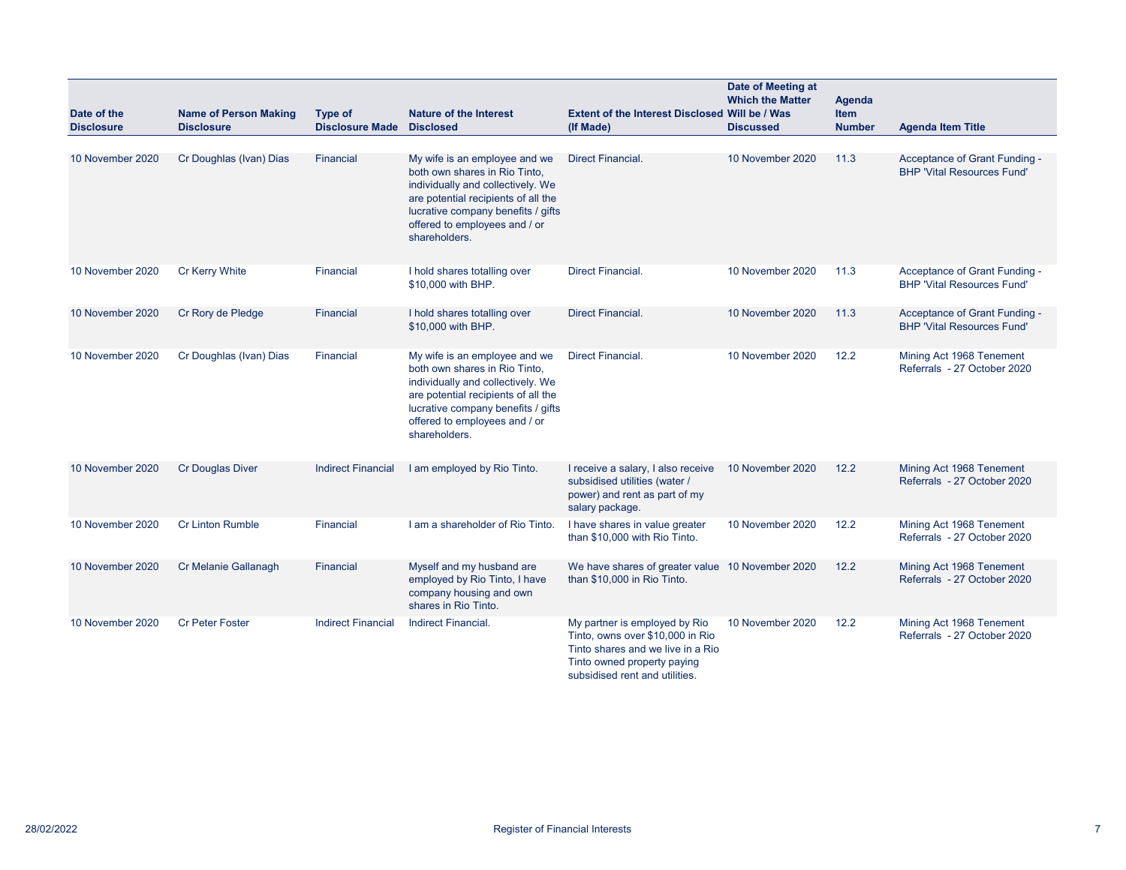| Date of the<br><b>Disclosure</b> | <b>Name of Person Making</b><br><b>Disclosure</b> | Type of<br><b>Disclosure Made</b> | <b>Nature of the Interest</b><br><b>Disclosed</b>                                                                                                                                                                                  | Extent of the Interest Disclosed Will be / Was<br>(If Made)                                                                                                             | Date of Meeting at<br><b>Which the Matter</b><br><b>Discussed</b> | <b>Agenda</b><br>Item<br><b>Number</b> | <b>Agenda Item Title</b>                                           |
|----------------------------------|---------------------------------------------------|-----------------------------------|------------------------------------------------------------------------------------------------------------------------------------------------------------------------------------------------------------------------------------|-------------------------------------------------------------------------------------------------------------------------------------------------------------------------|-------------------------------------------------------------------|----------------------------------------|--------------------------------------------------------------------|
| 10 November 2020                 | Cr Doughlas (Ivan) Dias                           | Financial                         | My wife is an employee and we<br>both own shares in Rio Tinto,<br>individually and collectively. We<br>are potential recipients of all the<br>lucrative company benefits / gifts<br>offered to employees and / or<br>shareholders. | <b>Direct Financial.</b>                                                                                                                                                | 10 November 2020                                                  | 11.3                                   | Acceptance of Grant Funding -<br><b>BHP 'Vital Resources Fund'</b> |
| 10 November 2020                 | <b>Cr Kerry White</b>                             | Financial                         | I hold shares totalling over<br>\$10,000 with BHP.                                                                                                                                                                                 | <b>Direct Financial.</b>                                                                                                                                                | 10 November 2020                                                  | 11.3                                   | Acceptance of Grant Funding -<br><b>BHP 'Vital Resources Fund'</b> |
| 10 November 2020                 | Cr Rory de Pledge                                 | Financial                         | I hold shares totalling over<br>\$10,000 with BHP.                                                                                                                                                                                 | <b>Direct Financial.</b>                                                                                                                                                | 10 November 2020                                                  | 11.3                                   | Acceptance of Grant Funding -<br><b>BHP 'Vital Resources Fund'</b> |
| 10 November 2020                 | Cr Doughlas (Ivan) Dias                           | Financial                         | My wife is an employee and we<br>both own shares in Rio Tinto,<br>individually and collectively. We<br>are potential recipients of all the<br>lucrative company benefits / gifts<br>offered to employees and / or<br>shareholders. | <b>Direct Financial.</b>                                                                                                                                                | 10 November 2020                                                  | 12.2                                   | Mining Act 1968 Tenement<br>Referrals - 27 October 2020            |
| 10 November 2020                 | <b>Cr Douglas Diver</b>                           | <b>Indirect Financial</b>         | I am employed by Rio Tinto.                                                                                                                                                                                                        | I receive a salary, I also receive<br>subsidised utilities (water /<br>power) and rent as part of my<br>salary package.                                                 | 10 November 2020                                                  | 12.2                                   | Mining Act 1968 Tenement<br>Referrals - 27 October 2020            |
| 10 November 2020                 | <b>Cr Linton Rumble</b>                           | Financial                         | I am a shareholder of Rio Tinto.                                                                                                                                                                                                   | I have shares in value greater<br>than \$10,000 with Rio Tinto.                                                                                                         | 10 November 2020                                                  | 12.2                                   | Mining Act 1968 Tenement<br>Referrals - 27 October 2020            |
| 10 November 2020                 | Cr Melanie Gallanagh                              | Financial                         | Myself and my husband are<br>employed by Rio Tinto, I have<br>company housing and own<br>shares in Rio Tinto.                                                                                                                      | We have shares of greater value 10 November 2020<br>than \$10,000 in Rio Tinto.                                                                                         |                                                                   | 12.2                                   | Mining Act 1968 Tenement<br>Referrals - 27 October 2020            |
| 10 November 2020                 | <b>Cr Peter Foster</b>                            | <b>Indirect Financial</b>         | <b>Indirect Financial</b>                                                                                                                                                                                                          | My partner is employed by Rio<br>Tinto, owns over \$10,000 in Rio<br>Tinto shares and we live in a Rio<br>Tinto owned property paying<br>subsidised rent and utilities. | 10 November 2020                                                  | 12.2                                   | Mining Act 1968 Tenement<br>Referrals - 27 October 2020            |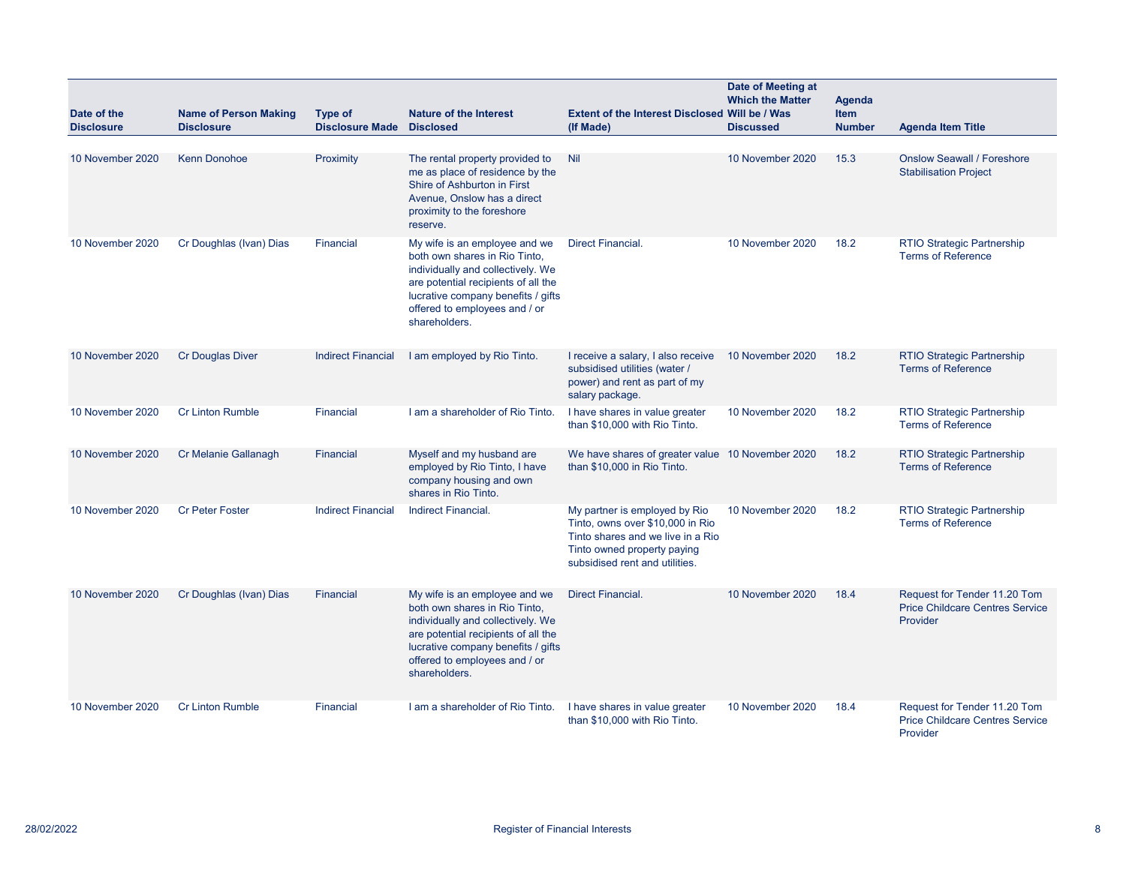| Date of the<br><b>Disclosure</b> | <b>Name of Person Making</b><br><b>Disclosure</b> | Type of<br><b>Disclosure Made</b> | <b>Nature of the Interest</b><br><b>Disclosed</b>                                                                                                                                                                                  | Extent of the Interest Disclosed Will be / Was<br>(If Made)                                                                                                             | Date of Meeting at<br><b>Which the Matter</b><br><b>Discussed</b> | Agenda<br><b>Item</b><br><b>Number</b> | <b>Agenda Item Title</b>                                                           |
|----------------------------------|---------------------------------------------------|-----------------------------------|------------------------------------------------------------------------------------------------------------------------------------------------------------------------------------------------------------------------------------|-------------------------------------------------------------------------------------------------------------------------------------------------------------------------|-------------------------------------------------------------------|----------------------------------------|------------------------------------------------------------------------------------|
| 10 November 2020                 | <b>Kenn Donohoe</b>                               | Proximity                         | The rental property provided to<br>me as place of residence by the<br>Shire of Ashburton in First<br>Avenue, Onslow has a direct<br>proximity to the foreshore<br>reserve.                                                         | Nil                                                                                                                                                                     | 10 November 2020                                                  | 15.3                                   | <b>Onslow Seawall / Foreshore</b><br><b>Stabilisation Project</b>                  |
| 10 November 2020                 | Cr Doughlas (Ivan) Dias                           | Financial                         | My wife is an employee and we<br>both own shares in Rio Tinto,<br>individually and collectively. We<br>are potential recipients of all the<br>lucrative company benefits / gifts<br>offered to employees and / or<br>shareholders. | <b>Direct Financial.</b>                                                                                                                                                | 10 November 2020                                                  | 18.2                                   | <b>RTIO Strategic Partnership</b><br><b>Terms of Reference</b>                     |
| 10 November 2020                 | <b>Cr Douglas Diver</b>                           | <b>Indirect Financial</b>         | I am employed by Rio Tinto.                                                                                                                                                                                                        | I receive a salary, I also receive<br>subsidised utilities (water /<br>power) and rent as part of my<br>salary package.                                                 | 10 November 2020                                                  | 18.2                                   | RTIO Strategic Partnership<br><b>Terms of Reference</b>                            |
| 10 November 2020                 | <b>Cr Linton Rumble</b>                           | Financial                         | I am a shareholder of Rio Tinto.                                                                                                                                                                                                   | I have shares in value greater<br>than \$10,000 with Rio Tinto.                                                                                                         | 10 November 2020                                                  | 18.2                                   | <b>RTIO Strategic Partnership</b><br><b>Terms of Reference</b>                     |
| 10 November 2020                 | Cr Melanie Gallanagh                              | Financial                         | Myself and my husband are<br>employed by Rio Tinto, I have<br>company housing and own<br>shares in Rio Tinto.                                                                                                                      | We have shares of greater value 10 November 2020<br>than \$10,000 in Rio Tinto.                                                                                         |                                                                   | 18.2                                   | RTIO Strategic Partnership<br><b>Terms of Reference</b>                            |
| 10 November 2020                 | <b>Cr Peter Foster</b>                            | <b>Indirect Financial</b>         | Indirect Financial.                                                                                                                                                                                                                | My partner is employed by Rio<br>Tinto, owns over \$10,000 in Rio<br>Tinto shares and we live in a Rio<br>Tinto owned property paying<br>subsidised rent and utilities. | 10 November 2020                                                  | 18.2                                   | <b>RTIO Strategic Partnership</b><br><b>Terms of Reference</b>                     |
| 10 November 2020                 | Cr Doughlas (Ivan) Dias                           | Financial                         | My wife is an employee and we<br>both own shares in Rio Tinto,<br>individually and collectively. We<br>are potential recipients of all the<br>lucrative company benefits / gifts<br>offered to employees and / or<br>shareholders. | <b>Direct Financial.</b>                                                                                                                                                | 10 November 2020                                                  | 18.4                                   | Request for Tender 11.20 Tom<br><b>Price Childcare Centres Service</b><br>Provider |
| 10 November 2020                 | <b>Cr Linton Rumble</b>                           | Financial                         | I am a shareholder of Rio Tinto.                                                                                                                                                                                                   | I have shares in value greater<br>than \$10,000 with Rio Tinto.                                                                                                         | 10 November 2020                                                  | 18.4                                   | Request for Tender 11.20 Tom<br><b>Price Childcare Centres Service</b><br>Provider |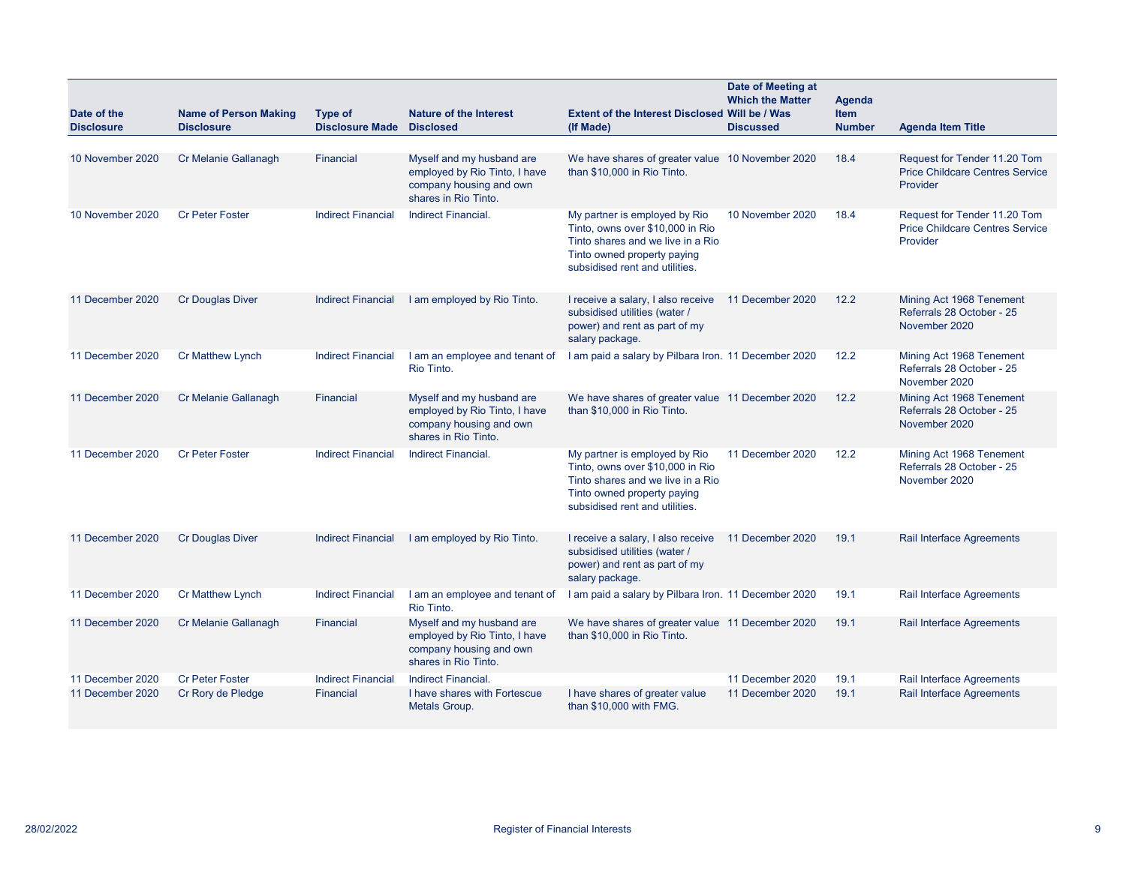| Date of the       | <b>Name of Person Making</b> | Type of                   | <b>Nature of the Interest</b>                                                                                 | <b>Extent of the Interest Disclosed Will be / Was</b>                                                                                                                   | Date of Meeting at<br><b>Which the Matter</b> | Agenda<br><b>Item</b> |                                                                                    |
|-------------------|------------------------------|---------------------------|---------------------------------------------------------------------------------------------------------------|-------------------------------------------------------------------------------------------------------------------------------------------------------------------------|-----------------------------------------------|-----------------------|------------------------------------------------------------------------------------|
| <b>Disclosure</b> | <b>Disclosure</b>            | <b>Disclosure Made</b>    | <b>Disclosed</b>                                                                                              | (If Made)                                                                                                                                                               | <b>Discussed</b>                              | <b>Number</b>         | <b>Agenda Item Title</b>                                                           |
| 10 November 2020  | Cr Melanie Gallanagh         | Financial                 | Myself and my husband are<br>employed by Rio Tinto, I have<br>company housing and own<br>shares in Rio Tinto. | We have shares of greater value 10 November 2020<br>than \$10,000 in Rio Tinto.                                                                                         |                                               | 18.4                  | Request for Tender 11.20 Tom<br><b>Price Childcare Centres Service</b><br>Provider |
| 10 November 2020  | <b>Cr Peter Foster</b>       | <b>Indirect Financial</b> | Indirect Financial.                                                                                           | My partner is employed by Rio<br>Tinto, owns over \$10,000 in Rio<br>Tinto shares and we live in a Rio<br>Tinto owned property paying<br>subsidised rent and utilities. | 10 November 2020                              | 18.4                  | Request for Tender 11.20 Tom<br><b>Price Childcare Centres Service</b><br>Provider |
| 11 December 2020  | <b>Cr Douglas Diver</b>      | <b>Indirect Financial</b> | I am employed by Rio Tinto.                                                                                   | I receive a salary, I also receive<br>subsidised utilities (water /<br>power) and rent as part of my<br>salary package.                                                 | 11 December 2020                              | 12.2                  | Mining Act 1968 Tenement<br>Referrals 28 October - 25<br>November 2020             |
| 11 December 2020  | Cr Matthew Lynch             | <b>Indirect Financial</b> | I am an employee and tenant of<br>Rio Tinto.                                                                  | I am paid a salary by Pilbara Iron. 11 December 2020                                                                                                                    |                                               | 12.2                  | Mining Act 1968 Tenement<br>Referrals 28 October - 25<br>November 2020             |
| 11 December 2020  | Cr Melanie Gallanagh         | Financial                 | Myself and my husband are<br>employed by Rio Tinto, I have<br>company housing and own<br>shares in Rio Tinto. | We have shares of greater value 11 December 2020<br>than \$10,000 in Rio Tinto.                                                                                         |                                               | 12.2                  | Mining Act 1968 Tenement<br>Referrals 28 October - 25<br>November 2020             |
| 11 December 2020  | <b>Cr Peter Foster</b>       | <b>Indirect Financial</b> | <b>Indirect Financial.</b>                                                                                    | My partner is employed by Rio<br>Tinto, owns over \$10,000 in Rio<br>Tinto shares and we live in a Rio<br>Tinto owned property paying<br>subsidised rent and utilities. | 11 December 2020                              | 12.2                  | Mining Act 1968 Tenement<br>Referrals 28 October - 25<br>November 2020             |
| 11 December 2020  | <b>Cr Douglas Diver</b>      | <b>Indirect Financial</b> | I am employed by Rio Tinto.                                                                                   | I receive a salary, I also receive<br>subsidised utilities (water /<br>power) and rent as part of my<br>salary package.                                                 | 11 December 2020                              | 19.1                  | Rail Interface Agreements                                                          |
| 11 December 2020  | Cr Matthew Lynch             | <b>Indirect Financial</b> | I am an employee and tenant of<br>Rio Tinto.                                                                  | I am paid a salary by Pilbara Iron. 11 December 2020                                                                                                                    |                                               | 19.1                  | Rail Interface Agreements                                                          |
| 11 December 2020  | Cr Melanie Gallanagh         | Financial                 | Myself and my husband are<br>employed by Rio Tinto, I have<br>company housing and own<br>shares in Rio Tinto. | We have shares of greater value 11 December 2020<br>than \$10,000 in Rio Tinto.                                                                                         |                                               | 19.1                  | Rail Interface Agreements                                                          |
| 11 December 2020  | <b>Cr Peter Foster</b>       | <b>Indirect Financial</b> | <b>Indirect Financial.</b>                                                                                    |                                                                                                                                                                         | 11 December 2020                              | 19.1                  | Rail Interface Agreements                                                          |
| 11 December 2020  | Cr Rory de Pledge            | Financial                 | I have shares with Fortescue<br>Metals Group.                                                                 | I have shares of greater value<br>than \$10,000 with FMG.                                                                                                               | 11 December 2020                              | 19.1                  | <b>Rail Interface Agreements</b>                                                   |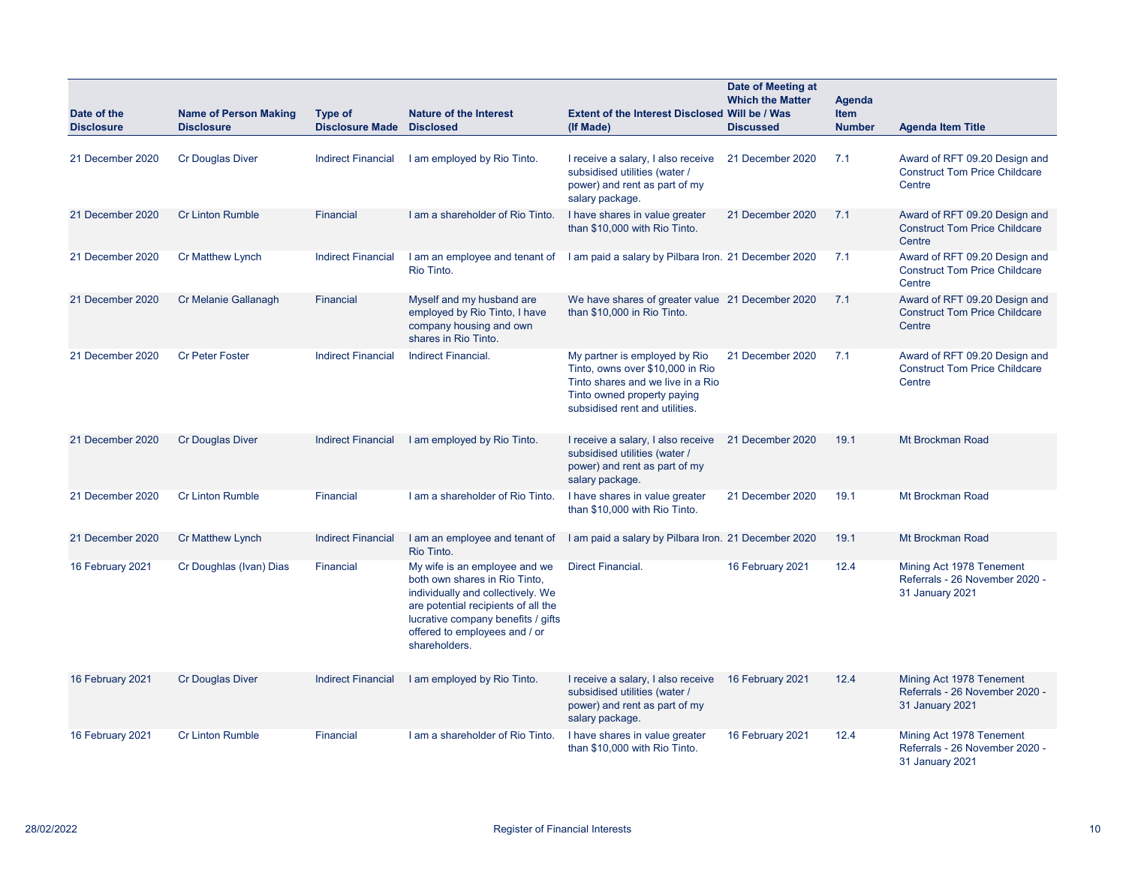| Date of the<br><b>Disclosure</b> | <b>Name of Person Making</b><br><b>Disclosure</b> | Type of<br><b>Disclosure Made</b> | Nature of the Interest<br><b>Disclosed</b>                                                                                                                                                                                         | Extent of the Interest Disclosed Will be / Was<br>(If Made)                                                                                                             | Date of Meeting at<br><b>Which the Matter</b><br><b>Discussed</b> | Agenda<br><b>Item</b><br><b>Number</b> | <b>Agenda Item Title</b>                                                        |
|----------------------------------|---------------------------------------------------|-----------------------------------|------------------------------------------------------------------------------------------------------------------------------------------------------------------------------------------------------------------------------------|-------------------------------------------------------------------------------------------------------------------------------------------------------------------------|-------------------------------------------------------------------|----------------------------------------|---------------------------------------------------------------------------------|
| 21 December 2020                 | <b>Cr Douglas Diver</b>                           | <b>Indirect Financial</b>         | I am employed by Rio Tinto.                                                                                                                                                                                                        | I receive a salary, I also receive<br>subsidised utilities (water /<br>power) and rent as part of my<br>salary package.                                                 | 21 December 2020                                                  | 7.1                                    | Award of RFT 09.20 Design and<br><b>Construct Tom Price Childcare</b><br>Centre |
| 21 December 2020                 | <b>Cr Linton Rumble</b>                           | Financial                         | I am a shareholder of Rio Tinto.                                                                                                                                                                                                   | I have shares in value greater<br>than \$10,000 with Rio Tinto.                                                                                                         | 21 December 2020                                                  | 7.1                                    | Award of RFT 09.20 Design and<br><b>Construct Tom Price Childcare</b><br>Centre |
| 21 December 2020                 | <b>Cr Matthew Lynch</b>                           | <b>Indirect Financial</b>         | I am an employee and tenant of<br>Rio Tinto.                                                                                                                                                                                       | I am paid a salary by Pilbara Iron. 21 December 2020                                                                                                                    |                                                                   | 7.1                                    | Award of RFT 09.20 Design and<br><b>Construct Tom Price Childcare</b><br>Centre |
| 21 December 2020                 | Cr Melanie Gallanagh                              | Financial                         | Myself and my husband are<br>employed by Rio Tinto, I have<br>company housing and own<br>shares in Rio Tinto.                                                                                                                      | We have shares of greater value 21 December 2020<br>than \$10,000 in Rio Tinto.                                                                                         |                                                                   | 7.1                                    | Award of RFT 09.20 Design and<br><b>Construct Tom Price Childcare</b><br>Centre |
| 21 December 2020                 | <b>Cr Peter Foster</b>                            | <b>Indirect Financial</b>         | Indirect Financial.                                                                                                                                                                                                                | My partner is employed by Rio<br>Tinto, owns over \$10,000 in Rio<br>Tinto shares and we live in a Rio<br>Tinto owned property paying<br>subsidised rent and utilities. | 21 December 2020                                                  | 7.1                                    | Award of RFT 09.20 Design and<br><b>Construct Tom Price Childcare</b><br>Centre |
| 21 December 2020                 | <b>Cr Douglas Diver</b>                           | <b>Indirect Financial</b>         | I am employed by Rio Tinto.                                                                                                                                                                                                        | I receive a salary, I also receive<br>subsidised utilities (water /<br>power) and rent as part of my<br>salary package.                                                 | 21 December 2020                                                  | 19.1                                   | Mt Brockman Road                                                                |
| 21 December 2020                 | <b>Cr Linton Rumble</b>                           | Financial                         | I am a shareholder of Rio Tinto.                                                                                                                                                                                                   | I have shares in value greater<br>than \$10,000 with Rio Tinto.                                                                                                         | 21 December 2020                                                  | 19.1                                   | Mt Brockman Road                                                                |
| 21 December 2020                 | <b>Cr Matthew Lynch</b>                           | <b>Indirect Financial</b>         | I am an employee and tenant of<br>Rio Tinto.                                                                                                                                                                                       | I am paid a salary by Pilbara Iron. 21 December 2020                                                                                                                    |                                                                   | 19.1                                   | Mt Brockman Road                                                                |
| 16 February 2021                 | Cr Doughlas (Ivan) Dias                           | Financial                         | My wife is an employee and we<br>both own shares in Rio Tinto,<br>individually and collectively. We<br>are potential recipients of all the<br>lucrative company benefits / gifts<br>offered to employees and / or<br>shareholders. | <b>Direct Financial.</b>                                                                                                                                                | 16 February 2021                                                  | 12.4                                   | Mining Act 1978 Tenement<br>Referrals - 26 November 2020 -<br>31 January 2021   |
| 16 February 2021                 | <b>Cr Douglas Diver</b>                           | <b>Indirect Financial</b>         | I am employed by Rio Tinto.                                                                                                                                                                                                        | I receive a salary, I also receive<br>subsidised utilities (water /<br>power) and rent as part of my<br>salary package.                                                 | 16 February 2021                                                  | 12.4                                   | Mining Act 1978 Tenement<br>Referrals - 26 November 2020 -<br>31 January 2021   |
| 16 February 2021                 | <b>Cr Linton Rumble</b>                           | Financial                         | I am a shareholder of Rio Tinto.                                                                                                                                                                                                   | I have shares in value greater<br>than \$10,000 with Rio Tinto.                                                                                                         | 16 February 2021                                                  | 12.4                                   | Mining Act 1978 Tenement<br>Referrals - 26 November 2020 -<br>31 January 2021   |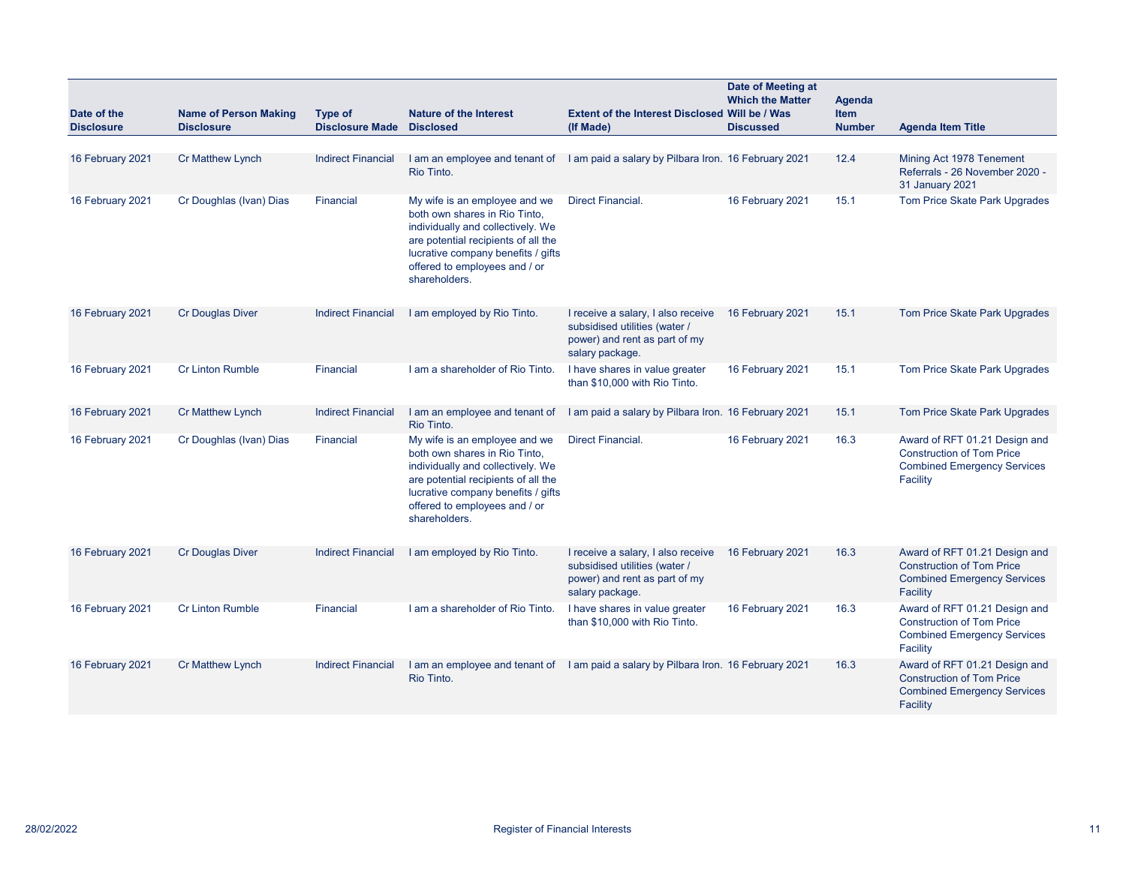| Date of the<br><b>Disclosure</b> | <b>Name of Person Making</b><br><b>Disclosure</b> | <b>Type of</b><br><b>Disclosure Made</b> | <b>Nature of the Interest</b><br><b>Disclosed</b>                                                                                                                                                                                  | Extent of the Interest Disclosed Will be / Was<br>(If Made)                                                             | Date of Meeting at<br><b>Which the Matter</b><br><b>Discussed</b> | <b>Agenda</b><br><b>Item</b><br><b>Number</b> | <b>Agenda Item Title</b>                                                                                            |
|----------------------------------|---------------------------------------------------|------------------------------------------|------------------------------------------------------------------------------------------------------------------------------------------------------------------------------------------------------------------------------------|-------------------------------------------------------------------------------------------------------------------------|-------------------------------------------------------------------|-----------------------------------------------|---------------------------------------------------------------------------------------------------------------------|
|                                  |                                                   |                                          |                                                                                                                                                                                                                                    |                                                                                                                         |                                                                   |                                               |                                                                                                                     |
| 16 February 2021                 | <b>Cr Matthew Lynch</b>                           | <b>Indirect Financial</b>                | Rio Tinto.                                                                                                                                                                                                                         | I am an employee and tenant of I am paid a salary by Pilbara Iron. 16 February 2021                                     |                                                                   | 12.4                                          | Mining Act 1978 Tenement<br>Referrals - 26 November 2020 -<br>31 January 2021                                       |
| 16 February 2021                 | Cr Doughlas (Ivan) Dias                           | Financial                                | My wife is an employee and we<br>both own shares in Rio Tinto,<br>individually and collectively. We<br>are potential recipients of all the<br>lucrative company benefits / gifts<br>offered to employees and / or<br>shareholders. | <b>Direct Financial.</b>                                                                                                | 16 February 2021                                                  | 15.1                                          | Tom Price Skate Park Upgrades                                                                                       |
| 16 February 2021                 | <b>Cr Douglas Diver</b>                           | <b>Indirect Financial</b>                | I am employed by Rio Tinto.                                                                                                                                                                                                        | I receive a salary, I also receive<br>subsidised utilities (water /<br>power) and rent as part of my<br>salary package. | 16 February 2021                                                  | 15.1                                          | Tom Price Skate Park Upgrades                                                                                       |
| 16 February 2021                 | <b>Cr Linton Rumble</b>                           | <b>Financial</b>                         | I am a shareholder of Rio Tinto.                                                                                                                                                                                                   | I have shares in value greater<br>than \$10,000 with Rio Tinto.                                                         | 16 February 2021                                                  | 15.1                                          | Tom Price Skate Park Upgrades                                                                                       |
| 16 February 2021                 | <b>Cr Matthew Lynch</b>                           | <b>Indirect Financial</b>                | I am an employee and tenant of<br>Rio Tinto.                                                                                                                                                                                       | I am paid a salary by Pilbara Iron. 16 February 2021                                                                    |                                                                   | 15.1                                          | Tom Price Skate Park Upgrades                                                                                       |
| 16 February 2021                 | Cr Doughlas (Ivan) Dias                           | Financial                                | My wife is an employee and we<br>both own shares in Rio Tinto,<br>individually and collectively. We<br>are potential recipients of all the<br>lucrative company benefits / gifts<br>offered to employees and / or<br>shareholders. | Direct Financial.                                                                                                       | 16 February 2021                                                  | 16.3                                          | Award of RFT 01.21 Design and<br><b>Construction of Tom Price</b><br><b>Combined Emergency Services</b><br>Facility |
| 16 February 2021                 | <b>Cr Douglas Diver</b>                           | <b>Indirect Financial</b>                | I am employed by Rio Tinto.                                                                                                                                                                                                        | I receive a salary, I also receive<br>subsidised utilities (water /<br>power) and rent as part of my<br>salary package. | 16 February 2021                                                  | 16.3                                          | Award of RFT 01.21 Design and<br><b>Construction of Tom Price</b><br><b>Combined Emergency Services</b><br>Facility |
| 16 February 2021                 | <b>Cr Linton Rumble</b>                           | Financial                                | I am a shareholder of Rio Tinto.                                                                                                                                                                                                   | I have shares in value greater<br>than \$10,000 with Rio Tinto.                                                         | 16 February 2021                                                  | 16.3                                          | Award of RFT 01.21 Design and<br><b>Construction of Tom Price</b><br><b>Combined Emergency Services</b><br>Facility |
| 16 February 2021                 | <b>Cr Matthew Lynch</b>                           | <b>Indirect Financial</b>                | Rio Tinto.                                                                                                                                                                                                                         | I am an employee and tenant of I am paid a salary by Pilbara Iron. 16 February 2021                                     |                                                                   | 16.3                                          | Award of RFT 01.21 Design and<br><b>Construction of Tom Price</b><br><b>Combined Emergency Services</b><br>Facility |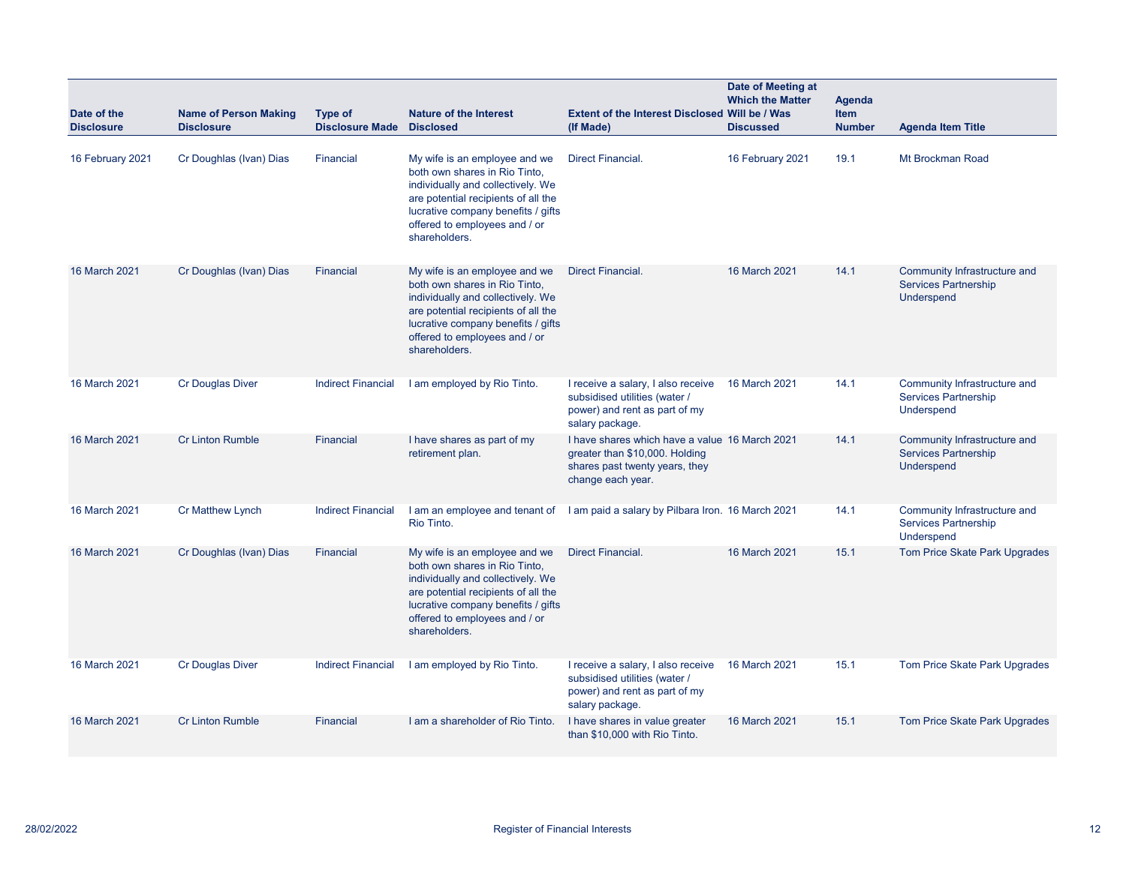| Date of the<br><b>Disclosure</b> | <b>Name of Person Making</b><br><b>Disclosure</b> | Type of<br><b>Disclosure Made</b> | <b>Nature of the Interest</b><br><b>Disclosed</b>                                                                                                                                                                                  | Extent of the Interest Disclosed Will be / Was<br>(If Made)                                                                             | Date of Meeting at<br><b>Which the Matter</b><br><b>Discussed</b> | <b>Agenda</b><br><b>Item</b><br><b>Number</b> | <b>Agenda Item Title</b>                                                         |
|----------------------------------|---------------------------------------------------|-----------------------------------|------------------------------------------------------------------------------------------------------------------------------------------------------------------------------------------------------------------------------------|-----------------------------------------------------------------------------------------------------------------------------------------|-------------------------------------------------------------------|-----------------------------------------------|----------------------------------------------------------------------------------|
| 16 February 2021                 | Cr Doughlas (Ivan) Dias                           | Financial                         | My wife is an employee and we<br>both own shares in Rio Tinto,<br>individually and collectively. We<br>are potential recipients of all the<br>lucrative company benefits / gifts<br>offered to employees and / or<br>shareholders. | Direct Financial.                                                                                                                       | 16 February 2021                                                  | 19.1                                          | Mt Brockman Road                                                                 |
| 16 March 2021                    | Cr Doughlas (Ivan) Dias                           | Financial                         | My wife is an employee and we<br>both own shares in Rio Tinto,<br>individually and collectively. We<br>are potential recipients of all the<br>lucrative company benefits / gifts<br>offered to employees and / or<br>shareholders. | <b>Direct Financial.</b>                                                                                                                | 16 March 2021                                                     | 14.1                                          | Community Infrastructure and<br><b>Services Partnership</b><br><b>Underspend</b> |
| 16 March 2021                    | <b>Cr Douglas Diver</b>                           | <b>Indirect Financial</b>         | I am employed by Rio Tinto.                                                                                                                                                                                                        | I receive a salary, I also receive<br>subsidised utilities (water /<br>power) and rent as part of my<br>salary package.                 | 16 March 2021                                                     | 14.1                                          | Community Infrastructure and<br><b>Services Partnership</b><br>Underspend        |
| 16 March 2021                    | <b>Cr Linton Rumble</b>                           | Financial                         | I have shares as part of my<br>retirement plan.                                                                                                                                                                                    | I have shares which have a value 16 March 2021<br>greater than \$10,000. Holding<br>shares past twenty years, they<br>change each year. |                                                                   | 14.1                                          | Community Infrastructure and<br><b>Services Partnership</b><br>Underspend        |
| 16 March 2021                    | <b>Cr Matthew Lynch</b>                           | <b>Indirect Financial</b>         | Rio Tinto.                                                                                                                                                                                                                         | I am an employee and tenant of I am paid a salary by Pilbara Iron. 16 March 2021                                                        |                                                                   | 14.1                                          | Community Infrastructure and<br><b>Services Partnership</b><br>Underspend        |
| 16 March 2021                    | Cr Doughlas (Ivan) Dias                           | Financial                         | My wife is an employee and we<br>both own shares in Rio Tinto,<br>individually and collectively. We<br>are potential recipients of all the<br>lucrative company benefits / gifts<br>offered to employees and / or<br>shareholders. | <b>Direct Financial.</b>                                                                                                                | 16 March 2021                                                     | 15.1                                          | Tom Price Skate Park Upgrades                                                    |
| 16 March 2021                    | <b>Cr Douglas Diver</b>                           | <b>Indirect Financial</b>         | I am employed by Rio Tinto.                                                                                                                                                                                                        | I receive a salary, I also receive<br>subsidised utilities (water /<br>power) and rent as part of my<br>salary package.                 | 16 March 2021                                                     | 15.1                                          | Tom Price Skate Park Upgrades                                                    |
| 16 March 2021                    | <b>Cr Linton Rumble</b>                           | Financial                         | I am a shareholder of Rio Tinto.                                                                                                                                                                                                   | I have shares in value greater<br>than \$10,000 with Rio Tinto.                                                                         | 16 March 2021                                                     | 15.1                                          | Tom Price Skate Park Upgrades                                                    |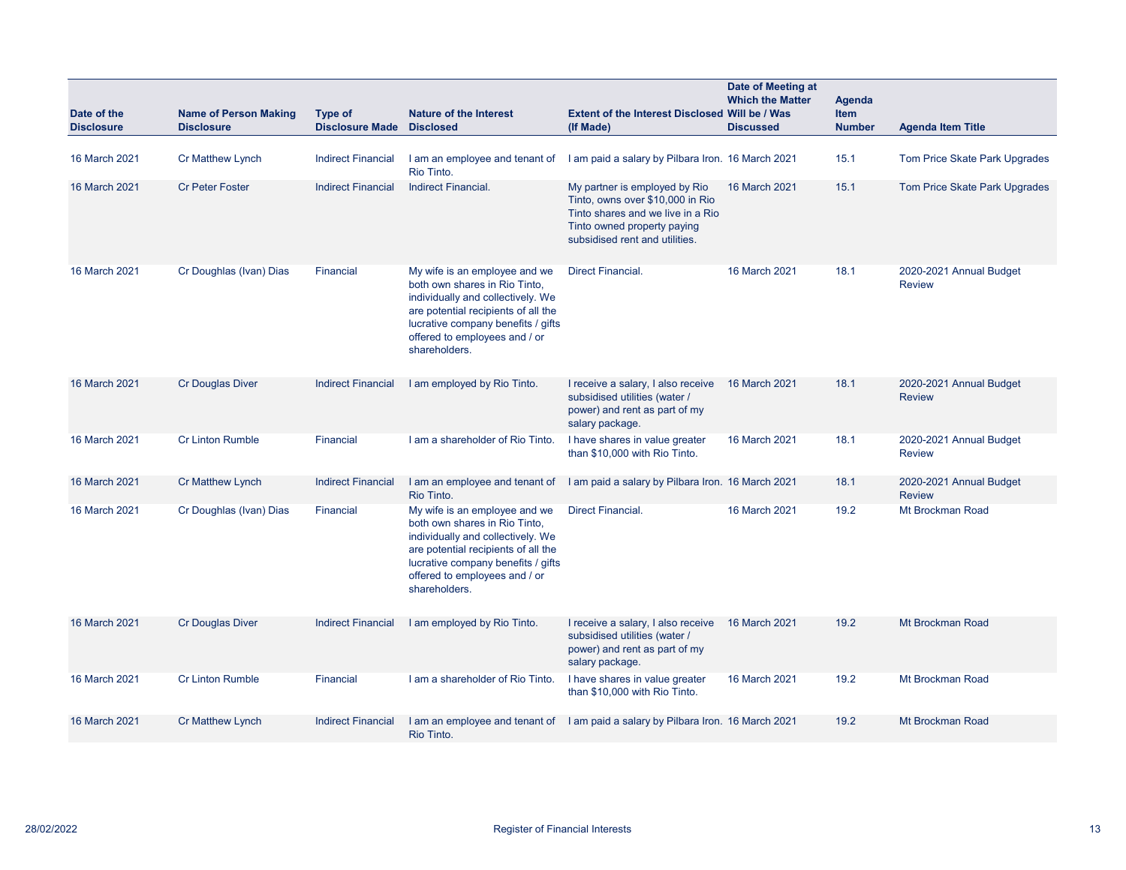| Date of the<br><b>Disclosure</b> | <b>Name of Person Making</b><br><b>Disclosure</b> | <b>Type of</b><br><b>Disclosure Made</b> | <b>Nature of the Interest</b><br><b>Disclosed</b>                                                                                                                                                                                  | <b>Extent of the Interest Disclosed Will be / Was</b><br>(If Made)                                                                                                      | Date of Meeting at<br><b>Which the Matter</b><br><b>Discussed</b> | Agenda<br><b>Item</b><br><b>Number</b> | <b>Agenda Item Title</b>                 |
|----------------------------------|---------------------------------------------------|------------------------------------------|------------------------------------------------------------------------------------------------------------------------------------------------------------------------------------------------------------------------------------|-------------------------------------------------------------------------------------------------------------------------------------------------------------------------|-------------------------------------------------------------------|----------------------------------------|------------------------------------------|
| 16 March 2021                    | <b>Cr Matthew Lynch</b>                           | <b>Indirect Financial</b>                | I am an employee and tenant of<br>Rio Tinto.                                                                                                                                                                                       | I am paid a salary by Pilbara Iron. 16 March 2021                                                                                                                       |                                                                   | 15.1                                   | Tom Price Skate Park Upgrades            |
| 16 March 2021                    | <b>Cr Peter Foster</b>                            | <b>Indirect Financial</b>                | <b>Indirect Financial.</b>                                                                                                                                                                                                         | My partner is employed by Rio<br>Tinto, owns over \$10,000 in Rio<br>Tinto shares and we live in a Rio<br>Tinto owned property paying<br>subsidised rent and utilities. | 16 March 2021                                                     | 15.1                                   | Tom Price Skate Park Upgrades            |
| 16 March 2021                    | Cr Doughlas (Ivan) Dias                           | Financial                                | My wife is an employee and we<br>both own shares in Rio Tinto,<br>individually and collectively. We<br>are potential recipients of all the<br>lucrative company benefits / gifts<br>offered to employees and / or<br>shareholders. | <b>Direct Financial.</b>                                                                                                                                                | 16 March 2021                                                     | 18.1                                   | 2020-2021 Annual Budget<br><b>Review</b> |
| 16 March 2021                    | <b>Cr Douglas Diver</b>                           | <b>Indirect Financial</b>                | I am employed by Rio Tinto.                                                                                                                                                                                                        | I receive a salary, I also receive<br>subsidised utilities (water /<br>power) and rent as part of my<br>salary package.                                                 | 16 March 2021                                                     | 18.1                                   | 2020-2021 Annual Budget<br><b>Review</b> |
| 16 March 2021                    | <b>Cr Linton Rumble</b>                           | Financial                                | I am a shareholder of Rio Tinto.                                                                                                                                                                                                   | I have shares in value greater<br>than \$10,000 with Rio Tinto.                                                                                                         | 16 March 2021                                                     | 18.1                                   | 2020-2021 Annual Budget<br><b>Review</b> |
| 16 March 2021                    | <b>Cr Matthew Lynch</b>                           | <b>Indirect Financial</b>                | I am an employee and tenant of<br>Rio Tinto.                                                                                                                                                                                       | I am paid a salary by Pilbara Iron. 16 March 2021                                                                                                                       |                                                                   | 18.1                                   | 2020-2021 Annual Budget<br><b>Review</b> |
| 16 March 2021                    | Cr Doughlas (Ivan) Dias                           | Financial                                | My wife is an employee and we<br>both own shares in Rio Tinto,<br>individually and collectively. We<br>are potential recipients of all the<br>lucrative company benefits / gifts<br>offered to employees and / or<br>shareholders. | <b>Direct Financial.</b>                                                                                                                                                | 16 March 2021                                                     | 19.2                                   | Mt Brockman Road                         |
| 16 March 2021                    | <b>Cr Douglas Diver</b>                           | <b>Indirect Financial</b>                | I am employed by Rio Tinto.                                                                                                                                                                                                        | I receive a salary, I also receive<br>subsidised utilities (water /<br>power) and rent as part of my<br>salary package.                                                 | 16 March 2021                                                     | 19.2                                   | Mt Brockman Road                         |
| 16 March 2021                    | <b>Cr Linton Rumble</b>                           | Financial                                | I am a shareholder of Rio Tinto.                                                                                                                                                                                                   | I have shares in value greater<br>than \$10,000 with Rio Tinto.                                                                                                         | 16 March 2021                                                     | 19.2                                   | Mt Brockman Road                         |
| 16 March 2021                    | <b>Cr Matthew Lynch</b>                           | <b>Indirect Financial</b>                | Rio Tinto.                                                                                                                                                                                                                         | I am an employee and tenant of I am paid a salary by Pilbara Iron. 16 March 2021                                                                                        |                                                                   | 19.2                                   | Mt Brockman Road                         |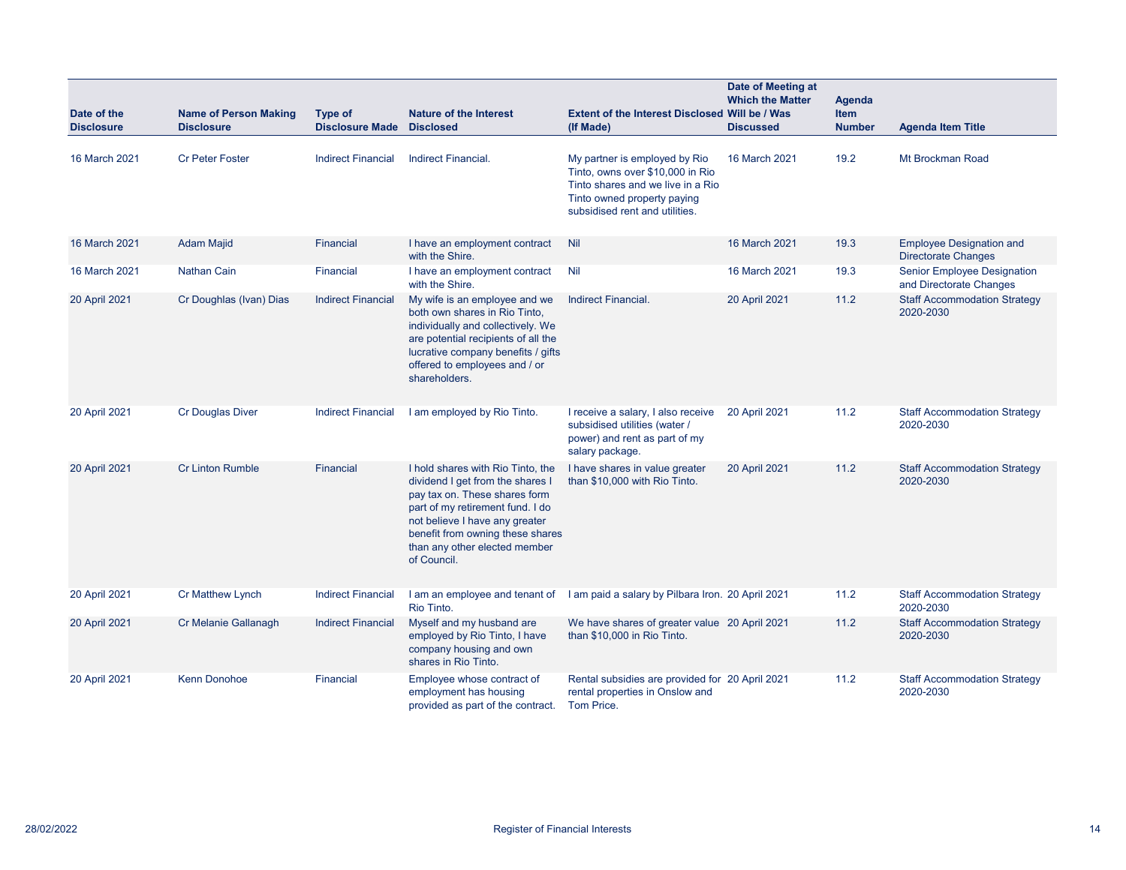| Date of the<br><b>Disclosure</b> | <b>Name of Person Making</b><br><b>Disclosure</b> | Type of<br><b>Disclosure Made</b> | <b>Nature of the Interest</b><br><b>Disclosed</b>                                                                                                                                                                                                                | Extent of the Interest Disclosed Will be / Was<br>(If Made)                                                                                                             | <b>Date of Meeting at</b><br><b>Which the Matter</b><br><b>Discussed</b> | Agenda<br><b>Item</b><br><b>Number</b> | <b>Agenda Item Title</b>                                      |
|----------------------------------|---------------------------------------------------|-----------------------------------|------------------------------------------------------------------------------------------------------------------------------------------------------------------------------------------------------------------------------------------------------------------|-------------------------------------------------------------------------------------------------------------------------------------------------------------------------|--------------------------------------------------------------------------|----------------------------------------|---------------------------------------------------------------|
| 16 March 2021                    | <b>Cr Peter Foster</b>                            | <b>Indirect Financial</b>         | <b>Indirect Financial.</b>                                                                                                                                                                                                                                       | My partner is employed by Rio<br>Tinto, owns over \$10,000 in Rio<br>Tinto shares and we live in a Rio<br>Tinto owned property paying<br>subsidised rent and utilities. | 16 March 2021                                                            | 19.2                                   | Mt Brockman Road                                              |
| 16 March 2021                    | <b>Adam Majid</b>                                 | Financial                         | I have an employment contract<br>with the Shire.                                                                                                                                                                                                                 | Nil                                                                                                                                                                     | 16 March 2021                                                            | 19.3                                   | <b>Employee Designation and</b><br><b>Directorate Changes</b> |
| 16 March 2021                    | Nathan Cain                                       | Financial                         | I have an employment contract<br>with the Shire.                                                                                                                                                                                                                 | Nil                                                                                                                                                                     | 16 March 2021                                                            | 19.3                                   | <b>Senior Employee Designation</b><br>and Directorate Changes |
| 20 April 2021                    | Cr Doughlas (Ivan) Dias                           | <b>Indirect Financial</b>         | My wife is an employee and we<br>both own shares in Rio Tinto.<br>individually and collectively. We<br>are potential recipients of all the<br>lucrative company benefits / gifts<br>offered to employees and / or<br>shareholders.                               | <b>Indirect Financial.</b>                                                                                                                                              | 20 April 2021                                                            | 11.2                                   | <b>Staff Accommodation Strategy</b><br>2020-2030              |
| 20 April 2021                    | <b>Cr Douglas Diver</b>                           | <b>Indirect Financial</b>         | I am employed by Rio Tinto.                                                                                                                                                                                                                                      | I receive a salary, I also receive<br>subsidised utilities (water /<br>power) and rent as part of my<br>salary package.                                                 | 20 April 2021                                                            | 11.2                                   | <b>Staff Accommodation Strategy</b><br>2020-2030              |
| 20 April 2021                    | <b>Cr Linton Rumble</b>                           | Financial                         | I hold shares with Rio Tinto, the<br>dividend I get from the shares I<br>pay tax on. These shares form<br>part of my retirement fund. I do<br>not believe I have any greater<br>benefit from owning these shares<br>than any other elected member<br>of Council. | I have shares in value greater<br>than \$10,000 with Rio Tinto.                                                                                                         | 20 April 2021                                                            | 11.2                                   | <b>Staff Accommodation Strategy</b><br>2020-2030              |
| 20 April 2021                    | Cr Matthew Lynch                                  | <b>Indirect Financial</b>         | Rio Tinto.                                                                                                                                                                                                                                                       | I am an employee and tenant of I am paid a salary by Pilbara Iron. 20 April 2021                                                                                        |                                                                          | 11.2                                   | <b>Staff Accommodation Strategy</b><br>2020-2030              |
| 20 April 2021                    | Cr Melanie Gallanagh                              | <b>Indirect Financial</b>         | Myself and my husband are<br>employed by Rio Tinto, I have<br>company housing and own<br>shares in Rio Tinto.                                                                                                                                                    | We have shares of greater value 20 April 2021<br>than \$10,000 in Rio Tinto.                                                                                            |                                                                          | 11.2                                   | <b>Staff Accommodation Strategy</b><br>2020-2030              |
| 20 April 2021                    | <b>Kenn Donohoe</b>                               | Financial                         | Employee whose contract of<br>employment has housing<br>provided as part of the contract.                                                                                                                                                                        | Rental subsidies are provided for 20 April 2021<br>rental properties in Onslow and<br>Tom Price.                                                                        |                                                                          | 11.2                                   | <b>Staff Accommodation Strategy</b><br>2020-2030              |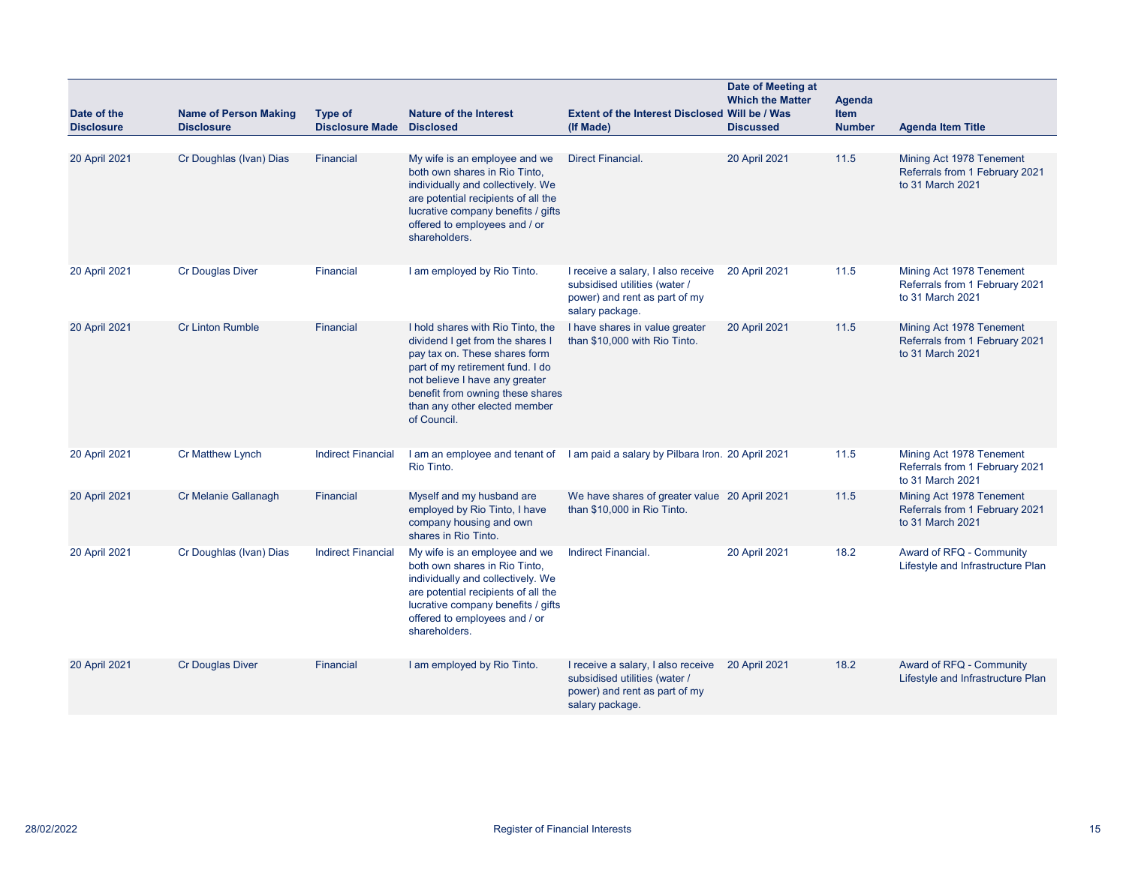| Date of the<br><b>Disclosure</b> | <b>Name of Person Making</b><br><b>Disclosure</b> | Type of<br><b>Disclosure Made</b> | <b>Nature of the Interest</b><br><b>Disclosed</b>                                                                                                                                                                                                                | Extent of the Interest Disclosed Will be / Was<br>(If Made)                                                             | Date of Meeting at<br><b>Which the Matter</b><br><b>Discussed</b> | Agenda<br><b>Item</b><br><b>Number</b> | <b>Agenda Item Title</b>                                                       |
|----------------------------------|---------------------------------------------------|-----------------------------------|------------------------------------------------------------------------------------------------------------------------------------------------------------------------------------------------------------------------------------------------------------------|-------------------------------------------------------------------------------------------------------------------------|-------------------------------------------------------------------|----------------------------------------|--------------------------------------------------------------------------------|
| 20 April 2021                    | Cr Doughlas (Ivan) Dias                           | Financial                         | My wife is an employee and we<br>both own shares in Rio Tinto,<br>individually and collectively. We<br>are potential recipients of all the<br>lucrative company benefits / gifts<br>offered to employees and / or<br>shareholders.                               | <b>Direct Financial.</b>                                                                                                | 20 April 2021                                                     | 11.5                                   | Mining Act 1978 Tenement<br>Referrals from 1 February 2021<br>to 31 March 2021 |
| 20 April 2021                    | <b>Cr Douglas Diver</b>                           | Financial                         | I am employed by Rio Tinto.                                                                                                                                                                                                                                      | I receive a salary, I also receive<br>subsidised utilities (water /<br>power) and rent as part of my<br>salary package. | 20 April 2021                                                     | 11.5                                   | Mining Act 1978 Tenement<br>Referrals from 1 February 2021<br>to 31 March 2021 |
| 20 April 2021                    | <b>Cr Linton Rumble</b>                           | Financial                         | I hold shares with Rio Tinto, the<br>dividend I get from the shares I<br>pay tax on. These shares form<br>part of my retirement fund. I do<br>not believe I have any greater<br>benefit from owning these shares<br>than any other elected member<br>of Council. | I have shares in value greater<br>than \$10,000 with Rio Tinto.                                                         | 20 April 2021                                                     | 11.5                                   | Mining Act 1978 Tenement<br>Referrals from 1 February 2021<br>to 31 March 2021 |
| 20 April 2021                    | <b>Cr Matthew Lynch</b>                           | <b>Indirect Financial</b>         | Rio Tinto.                                                                                                                                                                                                                                                       | I am an employee and tenant of I am paid a salary by Pilbara Iron. 20 April 2021                                        |                                                                   | 11.5                                   | Mining Act 1978 Tenement<br>Referrals from 1 February 2021<br>to 31 March 2021 |
| 20 April 2021                    | Cr Melanie Gallanagh                              | Financial                         | Myself and my husband are<br>employed by Rio Tinto, I have<br>company housing and own<br>shares in Rio Tinto.                                                                                                                                                    | We have shares of greater value 20 April 2021<br>than \$10,000 in Rio Tinto.                                            |                                                                   | 11.5                                   | Mining Act 1978 Tenement<br>Referrals from 1 February 2021<br>to 31 March 2021 |
| 20 April 2021                    | Cr Doughlas (Ivan) Dias                           | <b>Indirect Financial</b>         | My wife is an employee and we<br>both own shares in Rio Tinto,<br>individually and collectively. We<br>are potential recipients of all the<br>lucrative company benefits / gifts<br>offered to employees and / or<br>shareholders.                               | Indirect Financial.                                                                                                     | 20 April 2021                                                     | 18.2                                   | Award of RFQ - Community<br>Lifestyle and Infrastructure Plan                  |
| 20 April 2021                    | <b>Cr Douglas Diver</b>                           | Financial                         | I am employed by Rio Tinto.                                                                                                                                                                                                                                      | I receive a salary, I also receive<br>subsidised utilities (water /<br>power) and rent as part of my<br>salary package. | 20 April 2021                                                     | 18.2                                   | Award of RFQ - Community<br>Lifestyle and Infrastructure Plan                  |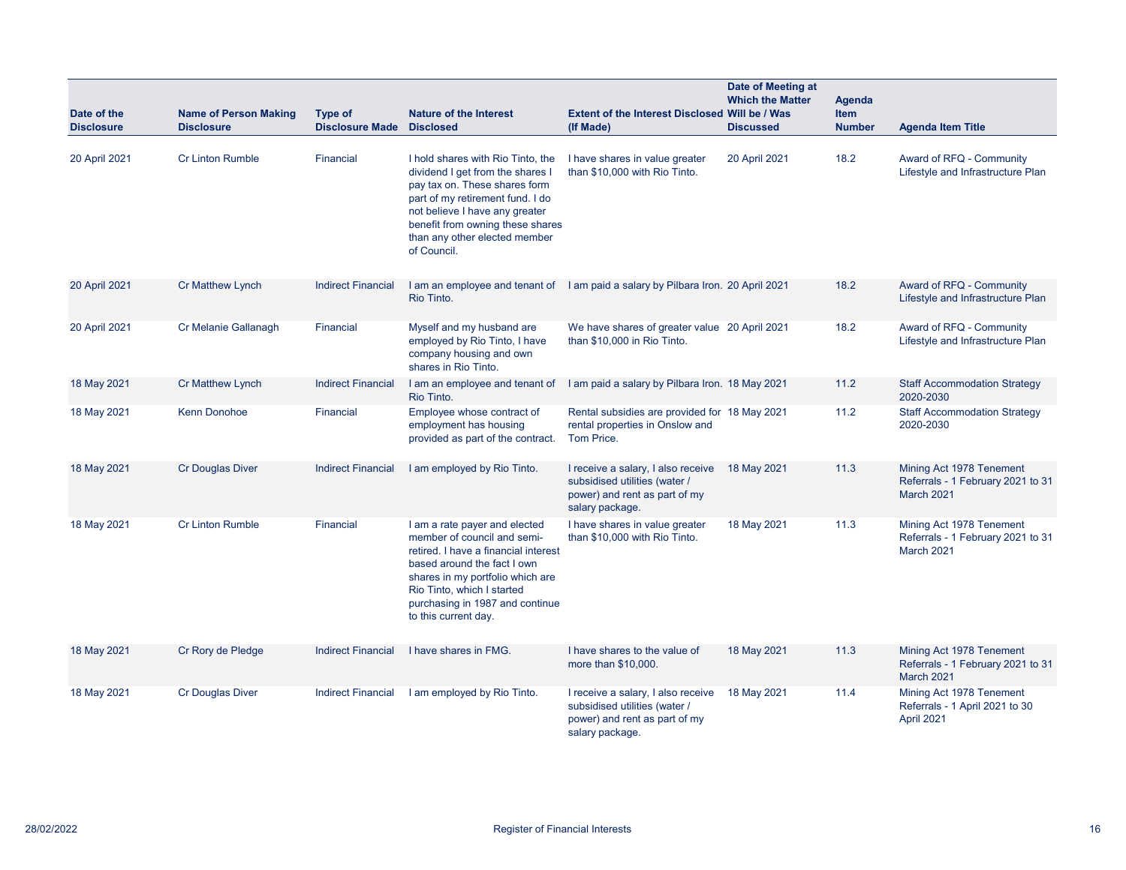| Date of the<br><b>Disclosure</b> | <b>Name of Person Making</b><br><b>Disclosure</b> | Type of<br><b>Disclosure Made</b> | <b>Nature of the Interest</b><br><b>Disclosed</b>                                                                                                                                                                                                                | <b>Extent of the Interest Disclosed Will be / Was</b><br>(If Made)                                                      | Date of Meeting at<br><b>Which the Matter</b><br><b>Discussed</b> | <b>Agenda</b><br><b>Item</b><br><b>Number</b> | <b>Agenda Item Title</b>                                                           |
|----------------------------------|---------------------------------------------------|-----------------------------------|------------------------------------------------------------------------------------------------------------------------------------------------------------------------------------------------------------------------------------------------------------------|-------------------------------------------------------------------------------------------------------------------------|-------------------------------------------------------------------|-----------------------------------------------|------------------------------------------------------------------------------------|
| 20 April 2021                    | <b>Cr Linton Rumble</b>                           | Financial                         | I hold shares with Rio Tinto, the<br>dividend I get from the shares I<br>pay tax on. These shares form<br>part of my retirement fund. I do<br>not believe I have any greater<br>benefit from owning these shares<br>than any other elected member<br>of Council. | I have shares in value greater<br>than \$10,000 with Rio Tinto.                                                         | 20 April 2021                                                     | 18.2                                          | Award of RFQ - Community<br>Lifestyle and Infrastructure Plan                      |
| 20 April 2021                    | <b>Cr Matthew Lynch</b>                           | <b>Indirect Financial</b>         | Rio Tinto.                                                                                                                                                                                                                                                       | I am an employee and tenant of I am paid a salary by Pilbara Iron. 20 April 2021                                        |                                                                   | 18.2                                          | Award of RFQ - Community<br>Lifestyle and Infrastructure Plan                      |
| 20 April 2021                    | Cr Melanie Gallanagh                              | Financial                         | Myself and my husband are<br>employed by Rio Tinto, I have<br>company housing and own<br>shares in Rio Tinto.                                                                                                                                                    | We have shares of greater value 20 April 2021<br>than \$10,000 in Rio Tinto.                                            |                                                                   | 18.2                                          | Award of RFQ - Community<br>Lifestyle and Infrastructure Plan                      |
| 18 May 2021                      | <b>Cr Matthew Lynch</b>                           | <b>Indirect Financial</b>         | I am an employee and tenant of<br>Rio Tinto.                                                                                                                                                                                                                     | I am paid a salary by Pilbara Iron. 18 May 2021                                                                         |                                                                   | 11.2                                          | <b>Staff Accommodation Strategy</b><br>2020-2030                                   |
| 18 May 2021                      | <b>Kenn Donohoe</b>                               | Financial                         | Employee whose contract of<br>employment has housing<br>provided as part of the contract.                                                                                                                                                                        | Rental subsidies are provided for 18 May 2021<br>rental properties in Onslow and<br>Tom Price.                          |                                                                   | 11.2                                          | <b>Staff Accommodation Strategy</b><br>2020-2030                                   |
| 18 May 2021                      | <b>Cr Douglas Diver</b>                           | <b>Indirect Financial</b>         | I am employed by Rio Tinto.                                                                                                                                                                                                                                      | I receive a salary, I also receive<br>subsidised utilities (water /<br>power) and rent as part of my<br>salary package. | 18 May 2021                                                       | 11.3                                          | Mining Act 1978 Tenement<br>Referrals - 1 February 2021 to 31<br><b>March 2021</b> |
| 18 May 2021                      | <b>Cr Linton Rumble</b>                           | Financial                         | I am a rate payer and elected<br>member of council and semi-<br>retired. I have a financial interest<br>based around the fact I own<br>shares in my portfolio which are<br>Rio Tinto, which I started<br>purchasing in 1987 and continue<br>to this current day. | I have shares in value greater<br>than \$10,000 with Rio Tinto.                                                         | 18 May 2021                                                       | 11.3                                          | Mining Act 1978 Tenement<br>Referrals - 1 February 2021 to 31<br>March 2021        |
| 18 May 2021                      | Cr Rory de Pledge                                 | <b>Indirect Financial</b>         | I have shares in FMG.                                                                                                                                                                                                                                            | I have shares to the value of<br>more than \$10,000.                                                                    | 18 May 2021                                                       | 11.3                                          | Mining Act 1978 Tenement<br>Referrals - 1 February 2021 to 31<br>March 2021        |
| 18 May 2021                      | Cr Douglas Diver                                  | <b>Indirect Financial</b>         | I am employed by Rio Tinto.                                                                                                                                                                                                                                      | I receive a salary, I also receive<br>subsidised utilities (water /<br>power) and rent as part of my<br>salary package. | 18 May 2021                                                       | 11.4                                          | Mining Act 1978 Tenement<br>Referrals - 1 April 2021 to 30<br>April 2021           |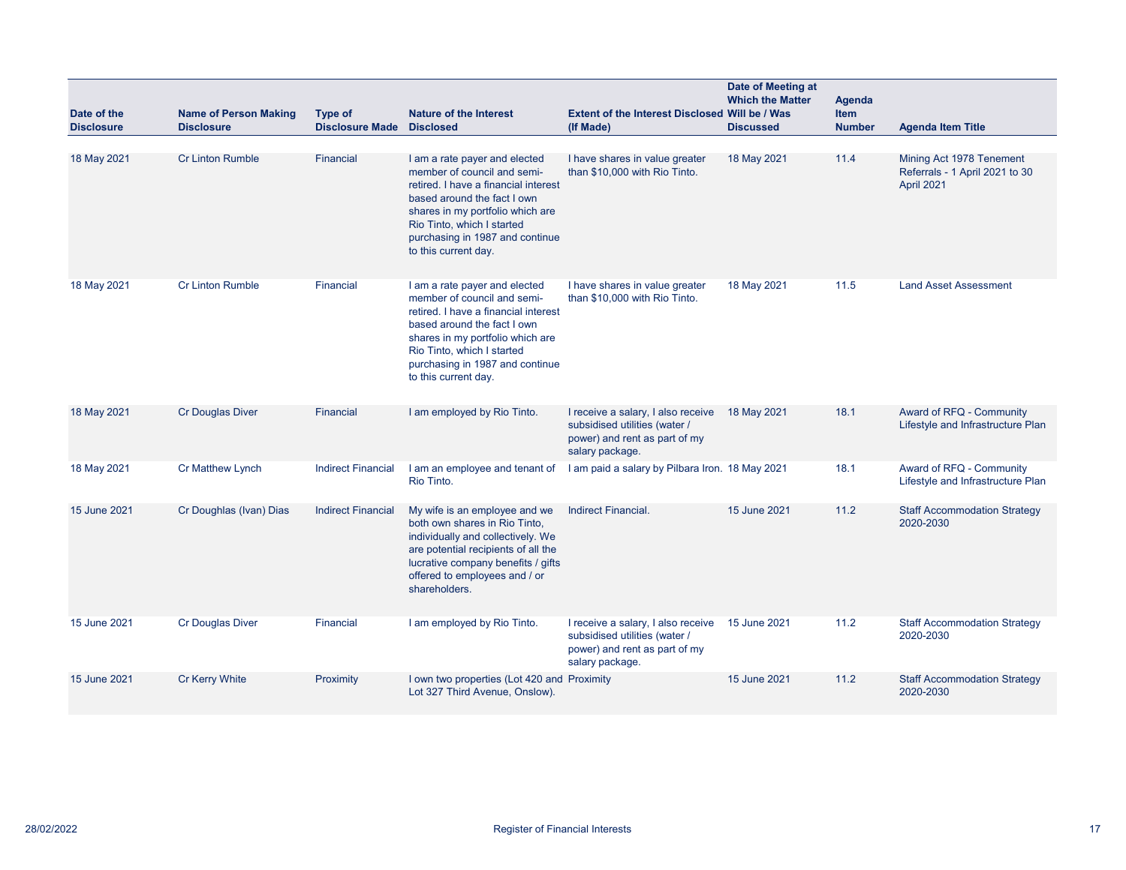| Date of the<br><b>Disclosure</b> | <b>Name of Person Making</b><br><b>Disclosure</b> | <b>Type of</b><br><b>Disclosure Made</b> | <b>Nature of the Interest</b><br><b>Disclosed</b>                                                                                                                                                                                                                | Extent of the Interest Disclosed Will be / Was<br>(If Made)                                                             | Date of Meeting at<br><b>Which the Matter</b><br><b>Discussed</b> | Agenda<br><b>Item</b><br><b>Number</b> | <b>Agenda Item Title</b>                                                 |
|----------------------------------|---------------------------------------------------|------------------------------------------|------------------------------------------------------------------------------------------------------------------------------------------------------------------------------------------------------------------------------------------------------------------|-------------------------------------------------------------------------------------------------------------------------|-------------------------------------------------------------------|----------------------------------------|--------------------------------------------------------------------------|
| 18 May 2021                      | <b>Cr Linton Rumble</b>                           | Financial                                | I am a rate payer and elected<br>member of council and semi-<br>retired. I have a financial interest<br>based around the fact I own<br>shares in my portfolio which are<br>Rio Tinto, which I started<br>purchasing in 1987 and continue<br>to this current day. | I have shares in value greater<br>than \$10,000 with Rio Tinto.                                                         | 18 May 2021                                                       | 11.4                                   | Mining Act 1978 Tenement<br>Referrals - 1 April 2021 to 30<br>April 2021 |
| 18 May 2021                      | <b>Cr Linton Rumble</b>                           | Financial                                | I am a rate payer and elected<br>member of council and semi-<br>retired. I have a financial interest<br>based around the fact I own<br>shares in my portfolio which are<br>Rio Tinto, which I started<br>purchasing in 1987 and continue<br>to this current day. | I have shares in value greater<br>than \$10,000 with Rio Tinto.                                                         | 18 May 2021                                                       | 11.5                                   | <b>Land Asset Assessment</b>                                             |
| 18 May 2021                      | <b>Cr Douglas Diver</b>                           | <b>Financial</b>                         | I am employed by Rio Tinto.                                                                                                                                                                                                                                      | I receive a salary, I also receive<br>subsidised utilities (water /<br>power) and rent as part of my<br>salary package. | 18 May 2021                                                       | 18.1                                   | Award of RFQ - Community<br>Lifestyle and Infrastructure Plan            |
| 18 May 2021                      | <b>Cr Matthew Lynch</b>                           | <b>Indirect Financial</b>                | I am an employee and tenant of<br>Rio Tinto.                                                                                                                                                                                                                     | I am paid a salary by Pilbara Iron. 18 May 2021                                                                         |                                                                   | 18.1                                   | Award of RFQ - Community<br>Lifestyle and Infrastructure Plan            |
| 15 June 2021                     | Cr Doughlas (Ivan) Dias                           | <b>Indirect Financial</b>                | My wife is an employee and we<br>both own shares in Rio Tinto,<br>individually and collectively. We<br>are potential recipients of all the<br>lucrative company benefits / gifts<br>offered to employees and / or<br>shareholders.                               | Indirect Financial.                                                                                                     | 15 June 2021                                                      | 11.2                                   | <b>Staff Accommodation Strategy</b><br>2020-2030                         |
| 15 June 2021                     | <b>Cr Douglas Diver</b>                           | Financial                                | I am employed by Rio Tinto.                                                                                                                                                                                                                                      | I receive a salary, I also receive<br>subsidised utilities (water /<br>power) and rent as part of my<br>salary package. | 15 June 2021                                                      | 11.2                                   | <b>Staff Accommodation Strategy</b><br>2020-2030                         |
| 15 June 2021                     | <b>Cr Kerry White</b>                             | Proximity                                | I own two properties (Lot 420 and Proximity<br>Lot 327 Third Avenue, Onslow).                                                                                                                                                                                    |                                                                                                                         | 15 June 2021                                                      | 11.2                                   | <b>Staff Accommodation Strategy</b><br>2020-2030                         |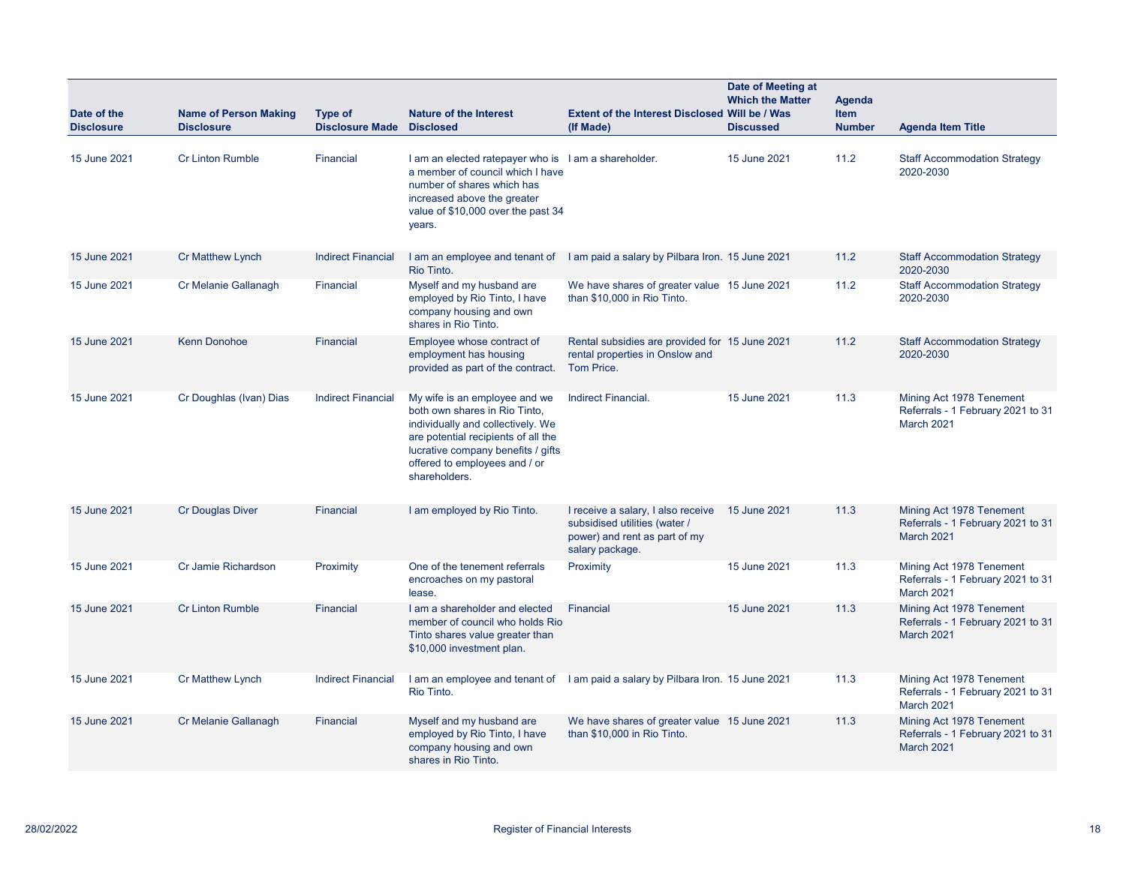| Date of the<br><b>Disclosure</b> | <b>Name of Person Making</b><br><b>Disclosure</b> | <b>Type of</b><br><b>Disclosure Made</b> | <b>Nature of the Interest</b><br><b>Disclosed</b>                                                                                                                                                                                  | <b>Extent of the Interest Disclosed Will be / Was</b><br>(If Made)                                                      | Date of Meeting at<br><b>Which the Matter</b><br><b>Discussed</b> | Agenda<br><b>Item</b><br><b>Number</b> | <b>Agenda Item Title</b>                                                           |
|----------------------------------|---------------------------------------------------|------------------------------------------|------------------------------------------------------------------------------------------------------------------------------------------------------------------------------------------------------------------------------------|-------------------------------------------------------------------------------------------------------------------------|-------------------------------------------------------------------|----------------------------------------|------------------------------------------------------------------------------------|
| 15 June 2021                     | <b>Cr Linton Rumble</b>                           | Financial                                | I am an elected ratepayer who is I am a shareholder.<br>a member of council which I have<br>number of shares which has<br>increased above the greater<br>value of \$10,000 over the past 34<br>years.                              |                                                                                                                         | 15 June 2021                                                      | 11.2                                   | <b>Staff Accommodation Strategy</b><br>2020-2030                                   |
| 15 June 2021                     | Cr Matthew Lynch                                  | <b>Indirect Financial</b>                | I am an employee and tenant of<br>Rio Tinto.                                                                                                                                                                                       | I am paid a salary by Pilbara Iron. 15 June 2021                                                                        |                                                                   | 11.2                                   | <b>Staff Accommodation Strategy</b><br>2020-2030                                   |
| 15 June 2021                     | Cr Melanie Gallanagh                              | Financial                                | Myself and my husband are<br>employed by Rio Tinto, I have<br>company housing and own<br>shares in Rio Tinto.                                                                                                                      | We have shares of greater value 15 June 2021<br>than \$10,000 in Rio Tinto.                                             |                                                                   | 11.2                                   | <b>Staff Accommodation Strategy</b><br>2020-2030                                   |
| 15 June 2021                     | <b>Kenn Donohoe</b>                               | <b>Financial</b>                         | Employee whose contract of<br>employment has housing<br>provided as part of the contract.                                                                                                                                          | Rental subsidies are provided for 15 June 2021<br>rental properties in Onslow and<br>Tom Price.                         |                                                                   | 11.2                                   | <b>Staff Accommodation Strategy</b><br>2020-2030                                   |
| 15 June 2021                     | Cr Doughlas (Ivan) Dias                           | <b>Indirect Financial</b>                | My wife is an employee and we<br>both own shares in Rio Tinto,<br>individually and collectively. We<br>are potential recipients of all the<br>lucrative company benefits / gifts<br>offered to employees and / or<br>shareholders. | Indirect Financial.                                                                                                     | 15 June 2021                                                      | 11.3                                   | Mining Act 1978 Tenement<br>Referrals - 1 February 2021 to 31<br>March 2021        |
| 15 June 2021                     | <b>Cr Douglas Diver</b>                           | Financial                                | I am employed by Rio Tinto.                                                                                                                                                                                                        | I receive a salary, I also receive<br>subsidised utilities (water /<br>power) and rent as part of my<br>salary package. | 15 June 2021                                                      | 11.3                                   | Mining Act 1978 Tenement<br>Referrals - 1 February 2021 to 31<br>March 2021        |
| 15 June 2021                     | Cr Jamie Richardson                               | Proximity                                | One of the tenement referrals<br>encroaches on my pastoral<br>lease.                                                                                                                                                               | Proximity                                                                                                               | 15 June 2021                                                      | 11.3                                   | Mining Act 1978 Tenement<br>Referrals - 1 February 2021 to 31<br>March 2021        |
| 15 June 2021                     | <b>Cr Linton Rumble</b>                           | Financial                                | I am a shareholder and elected<br>member of council who holds Rio<br>Tinto shares value greater than<br>\$10,000 investment plan.                                                                                                  | Financial                                                                                                               | 15 June 2021                                                      | 11.3                                   | Mining Act 1978 Tenement<br>Referrals - 1 February 2021 to 31<br>March 2021        |
| 15 June 2021                     | <b>Cr Matthew Lynch</b>                           | <b>Indirect Financial</b>                | Rio Tinto.                                                                                                                                                                                                                         | I am an employee and tenant of I am paid a salary by Pilbara Iron. 15 June 2021                                         |                                                                   | 11.3                                   | Mining Act 1978 Tenement<br>Referrals - 1 February 2021 to 31<br><b>March 2021</b> |
| 15 June 2021                     | Cr Melanie Gallanagh                              | Financial                                | Myself and my husband are<br>employed by Rio Tinto, I have<br>company housing and own<br>shares in Rio Tinto.                                                                                                                      | We have shares of greater value 15 June 2021<br>than \$10,000 in Rio Tinto.                                             |                                                                   | 11.3                                   | Mining Act 1978 Tenement<br>Referrals - 1 February 2021 to 31<br>March 2021        |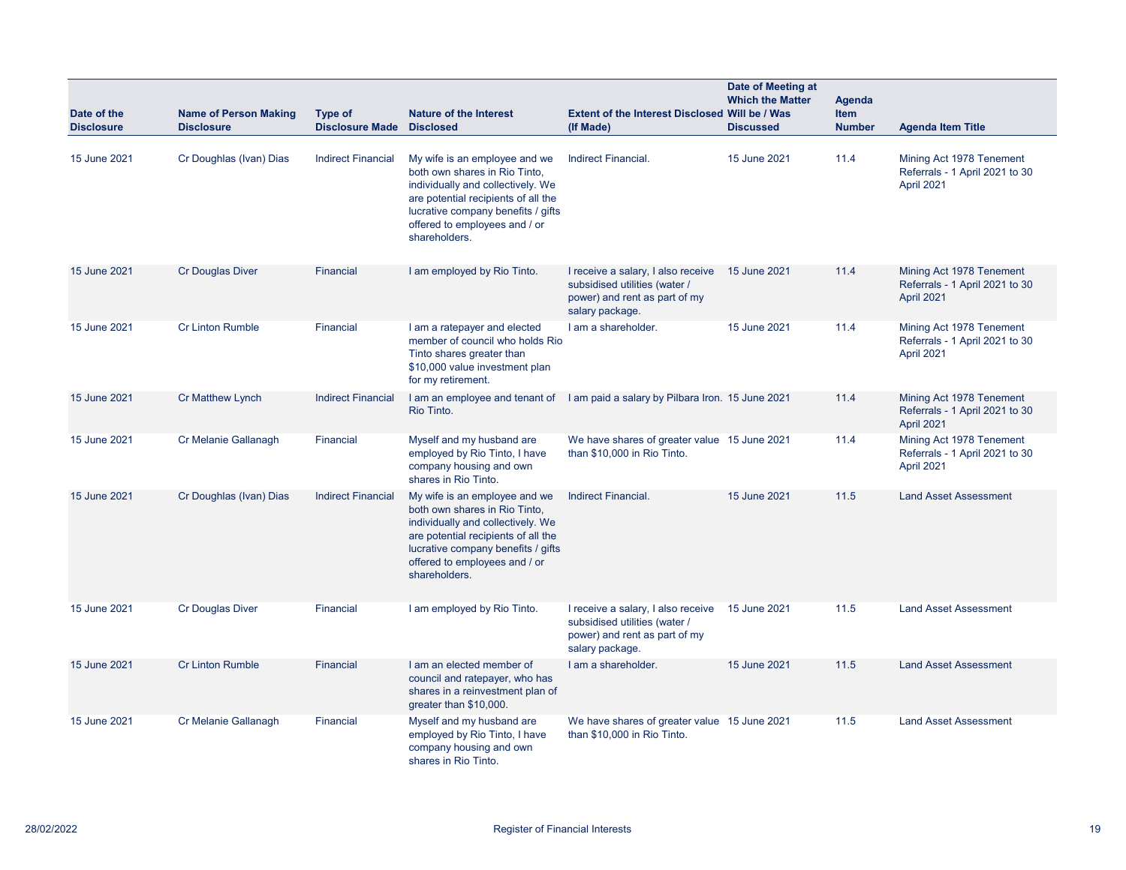| Date of the<br><b>Disclosure</b> | <b>Name of Person Making</b><br><b>Disclosure</b> | <b>Type of</b><br><b>Disclosure Made</b> | <b>Nature of the Interest</b><br><b>Disclosed</b>                                                                                                                                                                                  | <b>Extent of the Interest Disclosed Will be / Was</b><br>(If Made)                                                      | Date of Meeting at<br><b>Which the Matter</b><br><b>Discussed</b> | Agenda<br><b>Item</b><br><b>Number</b> | <b>Agenda Item Title</b>                                                 |
|----------------------------------|---------------------------------------------------|------------------------------------------|------------------------------------------------------------------------------------------------------------------------------------------------------------------------------------------------------------------------------------|-------------------------------------------------------------------------------------------------------------------------|-------------------------------------------------------------------|----------------------------------------|--------------------------------------------------------------------------|
| 15 June 2021                     | Cr Doughlas (Ivan) Dias                           | <b>Indirect Financial</b>                | My wife is an employee and we<br>both own shares in Rio Tinto.<br>individually and collectively. We<br>are potential recipients of all the<br>lucrative company benefits / gifts<br>offered to employees and / or<br>shareholders. | Indirect Financial.                                                                                                     | 15 June 2021                                                      | 11.4                                   | Mining Act 1978 Tenement<br>Referrals - 1 April 2021 to 30<br>April 2021 |
| 15 June 2021                     | <b>Cr Douglas Diver</b>                           | Financial                                | I am employed by Rio Tinto.                                                                                                                                                                                                        | I receive a salary, I also receive<br>subsidised utilities (water /<br>power) and rent as part of my<br>salary package. | 15 June 2021                                                      | 11.4                                   | Mining Act 1978 Tenement<br>Referrals - 1 April 2021 to 30<br>April 2021 |
| 15 June 2021                     | <b>Cr Linton Rumble</b>                           | Financial                                | I am a ratepayer and elected<br>member of council who holds Rio<br>Tinto shares greater than<br>\$10,000 value investment plan<br>for my retirement.                                                                               | I am a shareholder.                                                                                                     | 15 June 2021                                                      | 11.4                                   | Mining Act 1978 Tenement<br>Referrals - 1 April 2021 to 30<br>April 2021 |
| 15 June 2021                     | Cr Matthew Lynch                                  | <b>Indirect Financial</b>                | I am an employee and tenant of<br>Rio Tinto.                                                                                                                                                                                       | I am paid a salary by Pilbara Iron. 15 June 2021                                                                        |                                                                   | 11.4                                   | Mining Act 1978 Tenement<br>Referrals - 1 April 2021 to 30<br>April 2021 |
| 15 June 2021                     | Cr Melanie Gallanagh                              | Financial                                | Myself and my husband are<br>employed by Rio Tinto, I have<br>company housing and own<br>shares in Rio Tinto.                                                                                                                      | We have shares of greater value 15 June 2021<br>than \$10,000 in Rio Tinto.                                             |                                                                   | 11.4                                   | Mining Act 1978 Tenement<br>Referrals - 1 April 2021 to 30<br>April 2021 |
| 15 June 2021                     | Cr Doughlas (Ivan) Dias                           | <b>Indirect Financial</b>                | My wife is an employee and we<br>both own shares in Rio Tinto,<br>individually and collectively. We<br>are potential recipients of all the<br>lucrative company benefits / gifts<br>offered to employees and / or<br>shareholders. | Indirect Financial.                                                                                                     | 15 June 2021                                                      | 11.5                                   | <b>Land Asset Assessment</b>                                             |
| 15 June 2021                     | <b>Cr Douglas Diver</b>                           | Financial                                | I am employed by Rio Tinto.                                                                                                                                                                                                        | I receive a salary, I also receive<br>subsidised utilities (water /<br>power) and rent as part of my<br>salary package. | 15 June 2021                                                      | 11.5                                   | <b>Land Asset Assessment</b>                                             |
| 15 June 2021                     | <b>Cr Linton Rumble</b>                           | Financial                                | I am an elected member of<br>council and ratepayer, who has<br>shares in a reinvestment plan of<br>greater than \$10,000.                                                                                                          | I am a shareholder.                                                                                                     | 15 June 2021                                                      | 11.5                                   | Land Asset Assessment                                                    |
| 15 June 2021                     | Cr Melanie Gallanagh                              | Financial                                | Myself and my husband are<br>employed by Rio Tinto, I have<br>company housing and own<br>shares in Rio Tinto.                                                                                                                      | We have shares of greater value 15 June 2021<br>than \$10,000 in Rio Tinto.                                             |                                                                   | 11.5                                   | <b>Land Asset Assessment</b>                                             |